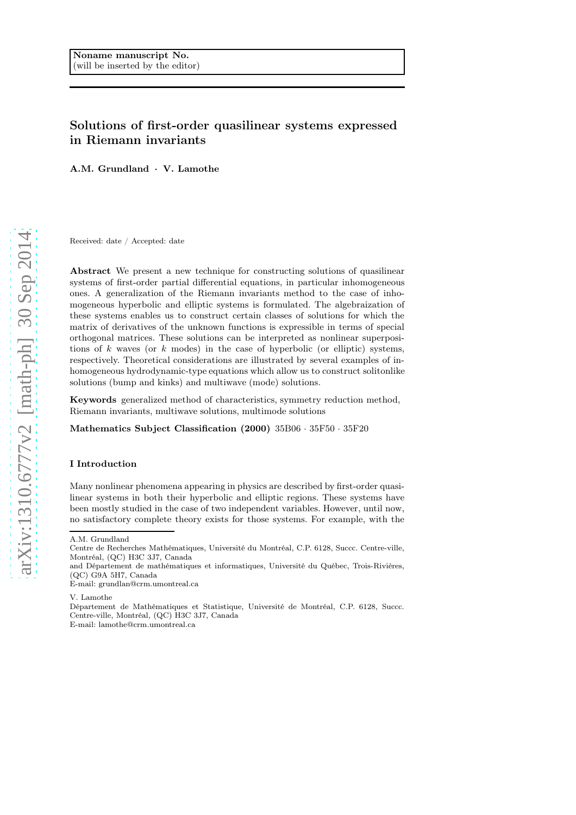# Solutions of first-order quasilinear systems expressed in Riemann invariants

A.M. Grundland · V. Lamothe

Received: date / Accepted: date

Abstract We present a new technique for constructing solutions of quasilinear systems of first-order partial differential equations, in particular inhomogeneous ones. A generalization of the Riemann invariants method to the case of inhomogeneous hyperbolic and elliptic systems is formulated. The algebraization of these systems enables us to construct certain classes of solutions for which the matrix of derivatives of the unknown functions is expressible in terms of special orthogonal matrices. These solutions can be interpreted as nonlinear superpositions of k waves (or  $k$  modes) in the case of hyperbolic (or elliptic) systems, respectively. Theoretical considerations are illustrated by several examples of inhomogeneous hydrodynamic-type equations which allow us to construct solitonlike solutions (bump and kinks) and multiwave (mode) solutions.

Keywords generalized method of characteristics, symmetry reduction method, Riemann invariants, multiwave solutions, multimode solutions

Mathematics Subject Classification (2000) 35B06 · 35F50 · 35F20

## I Introduction

Many nonlinear phenomena appearing in physics are described by first-order quasilinear systems in both their hyperbolic and elliptic regions. These systems have been mostly studied in the case of two independent variables. However, until now, no satisfactory complete theory exists for those systems. For example, with the

V. Lamothe

A.M. Grundland

Centre de Recherches Mathématiques, Université du Montréal, C.P. 6128, Succc. Centre-ville, Montréal, (QC) H3C 3J7, Canada

and Département de mathématiques et informatiques, Université du Québec, Trois-Rivières, (QC) G9A 5H7, Canada

E-mail: grundlan@crm.umontreal.ca

Département de Mathématiques et Statistique, Université de Montréal, C.P. 6128, Succc. Centre-ville, Montréal, (QC) H3C 3J7, Canada E-mail: lamothe@crm.umontreal.ca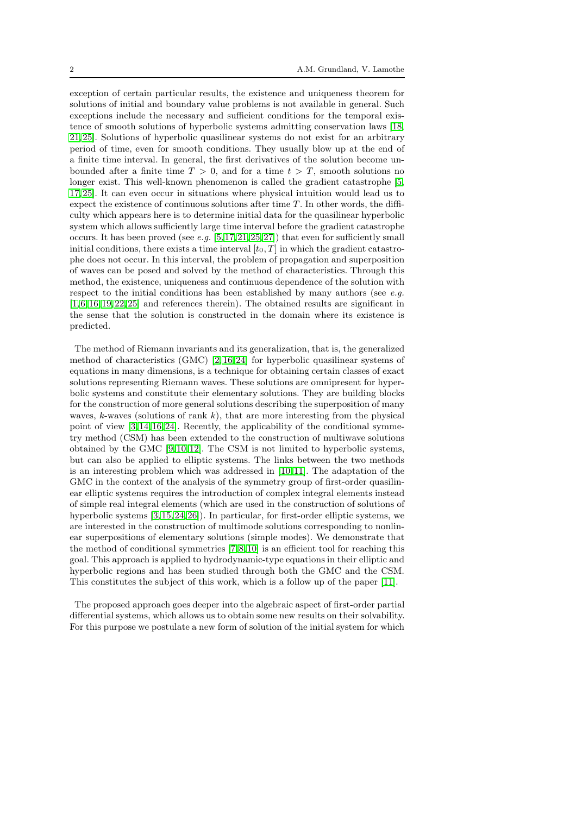exception of certain particular results, the existence and uniqueness theorem for solutions of initial and boundary value problems is not available in general. Such exceptions include the necessary and sufficient conditions for the temporal existence of smooth solutions of hyperbolic systems admitting conservation laws [\[18,](#page-28-0) [21,](#page-28-1) [25\]](#page-28-2). Solutions of hyperbolic quasilinear systems do not exist for an arbitrary period of time, even for smooth conditions. They usually blow up at the end of a finite time interval. In general, the first derivatives of the solution become unbounded after a finite time  $T > 0$ , and for a time  $t > T$ , smooth solutions no longer exist. This well-known phenomenon is called the gradient catastrophe [\[5,](#page-27-0) [17,](#page-28-3) [25\]](#page-28-2). It can even occur in situations where physical intuition would lead us to expect the existence of continuous solutions after time  $T$ . In other words, the difficulty which appears here is to determine initial data for the quasilinear hyperbolic system which allows sufficiently large time interval before the gradient catastrophe occurs. It has been proved (see  $e.g.$  [\[5,](#page-27-0)17,21,25,27]) that even for sufficiently small initial conditions, there exists a time interval  $[t_0, T]$  in which the gradient catastrophe does not occur. In this interval, the problem of propagation and superposition of waves can be posed and solved by the method of characteristics. Through this method, the existence, uniqueness and continuous dependence of the solution with respect to the initial conditions has been established by many authors (see  $e.g.$ [\[1,](#page-27-1) [6,](#page-27-2) [16,](#page-28-5) [19,](#page-28-6) [22,](#page-28-7) [25\]](#page-28-2) and references therein). The obtained results are significant in the sense that the solution is constructed in the domain where its existence is predicted.

The method of Riemann invariants and its generalization, that is, the generalized method of characteristics (GMC) [\[2,](#page-27-3) [16,](#page-28-5) [24\]](#page-28-8) for hyperbolic quasilinear systems of equations in many dimensions, is a technique for obtaining certain classes of exact solutions representing Riemann waves. These solutions are omnipresent for hyperbolic systems and constitute their elementary solutions. They are building blocks for the construction of more general solutions describing the superposition of many waves, k-waves (solutions of rank  $k$ ), that are more interesting from the physical point of view [\[3,](#page-27-4) [14,](#page-28-9) [16,](#page-28-5) [24\]](#page-28-8). Recently, the applicability of the conditional symmetry method (CSM) has been extended to the construction of multiwave solutions obtained by the GMC [\[9,](#page-27-5) [10,](#page-27-6) [12\]](#page-28-10). The CSM is not limited to hyperbolic systems, but can also be applied to elliptic systems. The links between the two methods is an interesting problem which was addressed in [\[10,](#page-27-6) [11\]](#page-28-11). The adaptation of the GMC in the context of the analysis of the symmetry group of first-order quasilinear elliptic systems requires the introduction of complex integral elements instead of simple real integral elements (which are used in the construction of solutions of hyperbolic systems [\[3,](#page-27-4) [15,](#page-28-12) [24,](#page-28-8) [26\]](#page-28-13)). In particular, for first-order elliptic systems, we are interested in the construction of multimode solutions corresponding to nonlinear superpositions of elementary solutions (simple modes). We demonstrate that the method of conditional symmetries [\[7,](#page-27-7) [8,](#page-27-8) [10\]](#page-27-6) is an efficient tool for reaching this goal. This approach is applied to hydrodynamic-type equations in their elliptic and hyperbolic regions and has been studied through both the GMC and the CSM. This constitutes the subject of this work, which is a follow up of the paper [\[11\]](#page-28-11).

The proposed approach goes deeper into the algebraic aspect of first-order partial differential systems, which allows us to obtain some new results on their solvability. For this purpose we postulate a new form of solution of the initial system for which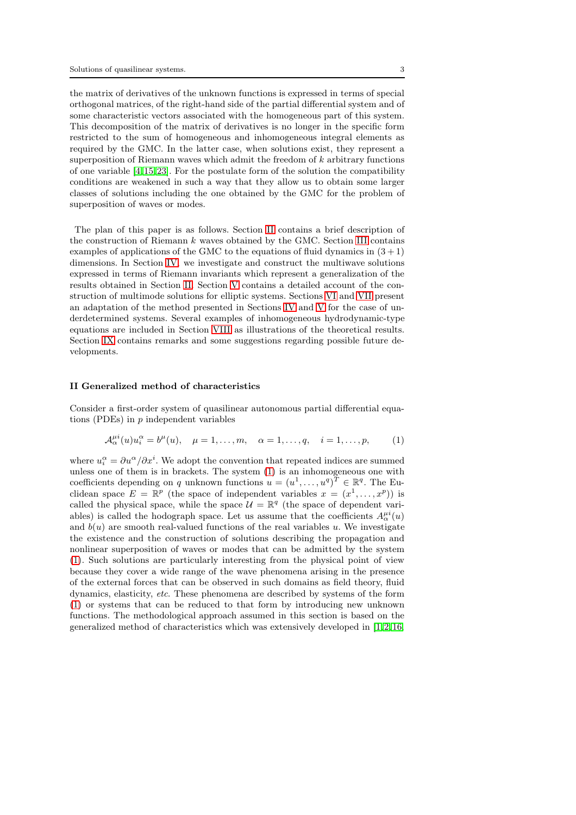the matrix of derivatives of the unknown functions is expressed in terms of special orthogonal matrices, of the right-hand side of the partial differential system and of some characteristic vectors associated with the homogeneous part of this system. This decomposition of the matrix of derivatives is no longer in the specific form restricted to the sum of homogeneous and inhomogeneous integral elements as required by the GMC. In the latter case, when solutions exist, they represent a superposition of Riemann waves which admit the freedom of k arbitrary functions of one variable  $[4, 15, 23]$  $[4, 15, 23]$  $[4, 15, 23]$ . For the postulate form of the solution the compatibility conditions are weakened in such a way that they allow us to obtain some larger classes of solutions including the one obtained by the GMC for the problem of superposition of waves or modes.

The plan of this paper is as follows. Section [II](#page-2-0) contains a brief description of the construction of Riemann  $k$  waves obtained by the GMC. Section [III](#page-5-0) contains examples of applications of the GMC to the equations of fluid dynamics in  $(3 + 1)$ dimensions. In Section [IV,](#page-11-0) we investigate and construct the multiwave solutions expressed in terms of Riemann invariants which represent a generalization of the results obtained in Section [II.](#page-2-0) Section [V](#page-14-0) contains a detailed account of the construction of multimode solutions for elliptic systems. Sections [VI](#page-16-0) and [VII](#page-18-0) present an adaptation of the method presented in Sections [IV](#page-11-0) and [V](#page-14-0) for the case of underdetermined systems. Several examples of inhomogeneous hydrodynamic-type equations are included in Section [VIII](#page-19-0) as illustrations of the theoretical results. Section [IX](#page-25-0) contains remarks and some suggestions regarding possible future developments.

## <span id="page-2-0"></span>II Generalized method of characteristics

Consider a first-order system of quasilinear autonomous partial differential equations (PDEs) in  $p$  independent variables

<span id="page-2-1"></span>
$$
\mathcal{A}^{\mu i}_{\alpha}(u)u_i^{\alpha} = b^{\mu}(u), \quad \mu = 1, \dots, m, \quad \alpha = 1, \dots, q, \quad i = 1, \dots, p,
$$
 (1)

where  $u_i^{\alpha} = \partial u^{\alpha}/\partial x^i$ . We adopt the convention that repeated indices are summed unless one of them is in brackets. The system [\(1\)](#page-2-1) is an inhomogeneous one with coefficients depending on q unknown functions  $u = (u^1, \dots, u^q)^T \in \mathbb{R}^q$ . The Euclidean space  $E = \mathbb{R}^p$  (the space of independent variables  $x = (x^1, \ldots, x^p)$ ) is called the physical space, while the space  $\mathcal{U} = \mathbb{R}^q$  (the space of dependent variables) is called the hodograph space. Let us assume that the coefficients  $A^{ui}_{\alpha}(u)$ and  $b(u)$  are smooth real-valued functions of the real variables u. We investigate the existence and the construction of solutions describing the propagation and nonlinear superposition of waves or modes that can be admitted by the system [\(1\)](#page-2-1). Such solutions are particularly interesting from the physical point of view because they cover a wide range of the wave phenomena arising in the presence of the external forces that can be observed in such domains as field theory, fluid dynamics, elasticity, etc. These phenomena are described by systems of the form [\(1\)](#page-2-1) or systems that can be reduced to that form by introducing new unknown functions. The methodological approach assumed in this section is based on the generalized method of characteristics which was extensively developed in  $[1, 2, 16]$  $[1, 2, 16]$  $[1, 2, 16]$ ,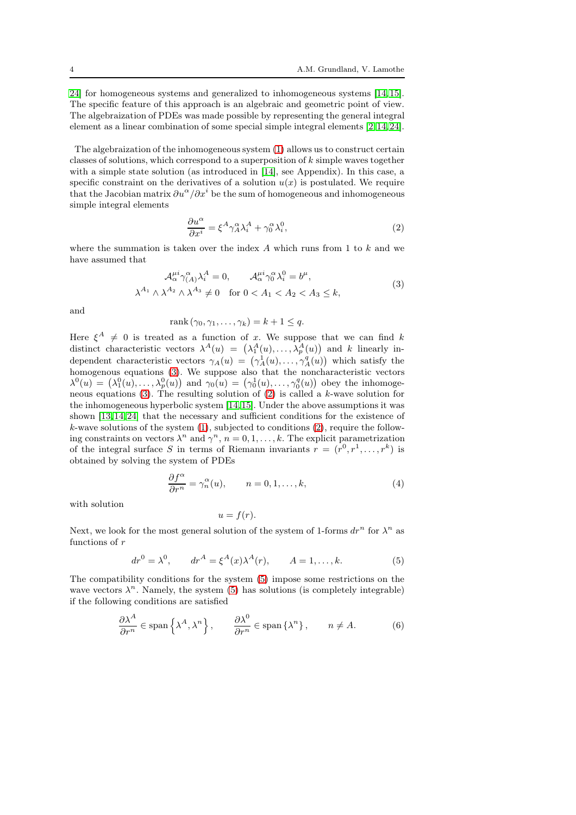[24\]](#page-28-8) for homogeneous systems and generalized to inhomogeneous systems [\[14,](#page-28-9) [15\]](#page-28-12). The specific feature of this approach is an algebraic and geometric point of view. The algebraization of PDEs was made possible by representing the general integral element as a linear combination of some special simple integral elements [\[2,](#page-27-3) [14,](#page-28-9) [24\]](#page-28-8).

The algebraization of the inhomogeneous system [\(1\)](#page-2-1) allows us to construct certain classes of solutions, which correspond to a superposition of  $k$  simple waves together with a simple state solution (as introduced in [\[14\]](#page-28-9), see Appendix). In this case, a specific constraint on the derivatives of a solution  $u(x)$  is postulated. We require that the Jacobian matrix  $\partial u^{\alpha}/\partial x^i$  be the sum of homogeneous and inhomogeneous simple integral elements

<span id="page-3-1"></span>
$$
\frac{\partial u^{\alpha}}{\partial x^{i}} = \xi^{A} \gamma_{A}^{\alpha} \lambda_{i}^{A} + \gamma_{0}^{\alpha} \lambda_{i}^{0}, \qquad (2)
$$

where the summation is taken over the index  $A$  which runs from 1 to  $k$  and we have assumed that

<span id="page-3-0"></span>
$$
\mathcal{A}^{\mu i}_{\alpha} \gamma^{\alpha}_{(A)} \lambda^{A}_{i} = 0, \qquad \mathcal{A}^{\mu i}_{\alpha} \gamma^{\alpha}_{0} \lambda^{0}_{i} = b^{\mu},
$$
  

$$
\lambda^{A_{1}} \wedge \lambda^{A_{2}} \wedge \lambda^{A_{3}} \neq 0 \quad \text{for } 0 < A_{1} < A_{2} < A_{3} \leq k,
$$
 (3)

and

$$
rank(\gamma_0, \gamma_1, \dots, \gamma_k) = k + 1 \leq q.
$$

Here  $\xi^A \neq 0$  is treated as a function of x. We suppose that we can find k distinct characteristic vectors  $\lambda^A(u) = (\lambda_1^A(u), \dots, \lambda_p^A(u))$  and k linearly independent characteristic vectors  $\gamma_A(u) = (\gamma_A^1(u), \ldots, \gamma_A^q(u))$  which satisfy the homogenous equations [\(3\)](#page-3-0). We suppose also that the noncharacteristic vectors  $\lambda^0(u) = (\lambda_1^0(u), \ldots, \lambda_p^0(u))$  and  $\gamma_0(u) = (\gamma_0^1(u), \ldots, \gamma_0^q(u))$  obey the inhomogeneous equations [\(3\)](#page-3-0). The resulting solution of [\(2\)](#page-3-1) is called a k-wave solution for the inhomogeneous hyperbolic system [\[14,](#page-28-9) [15\]](#page-28-12). Under the above assumptions it was shown [\[13,](#page-28-15) [14,](#page-28-9) [24\]](#page-28-8) that the necessary and sufficient conditions for the existence of k-wave solutions of the system [\(1\)](#page-2-1), subjected to conditions [\(2\)](#page-3-1), require the following constraints on vectors  $\lambda^n$  and  $\gamma^n$ ,  $n = 0, 1, \ldots, k$ . The explicit parametrization of the integral surface S in terms of Riemann invariants  $r = (r^0, r^1, \ldots, r^k)$  is obtained by solving the system of PDEs

<span id="page-3-4"></span>
$$
\frac{\partial f^{\alpha}}{\partial r^{n}} = \gamma_{n}^{\alpha}(u), \qquad n = 0, 1, \dots, k,
$$
\n(4)

with solution

$$
u=f(r).
$$

Next, we look for the most general solution of the system of 1-forms  $dr^n$  for  $\lambda^n$  as functions of r

<span id="page-3-2"></span>
$$
dr^{0} = \lambda^{0}
$$
,  $dr^{A} = \xi^{A}(x)\lambda^{A}(r)$ ,  $A = 1,..., k.$  (5)

The compatibility conditions for the system [\(5\)](#page-3-2) impose some restrictions on the wave vectors  $\lambda^n$ . Namely, the system [\(5\)](#page-3-2) has solutions (is completely integrable) if the following conditions are satisfied

<span id="page-3-3"></span>
$$
\frac{\partial \lambda^A}{\partial r^n} \in \text{span}\left\{\lambda^A, \lambda^n\right\}, \qquad \frac{\partial \lambda^0}{\partial r^n} \in \text{span}\left\{\lambda^n\right\}, \qquad n \neq A. \tag{6}
$$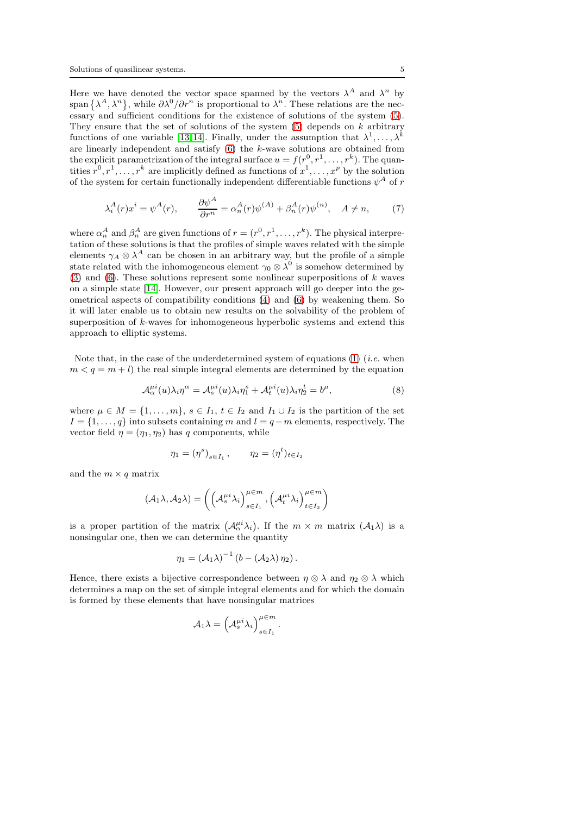Here we have denoted the vector space spanned by the vectors  $\lambda^A$  and  $\lambda^n$  by span  $\{\lambda^A, \lambda^n\}$ , while  $\partial \lambda^0/\partial r^n$  is proportional to  $\lambda^n$ . These relations are the necessary and sufficient conditions for the existence of solutions of the system [\(5\)](#page-3-2). They ensure that the set of solutions of the system  $(5)$  depends on k arbitrary functions of one variable [\[13,](#page-28-15)14]. Finally, under the assumption that  $\lambda^1, \ldots, \lambda^k$ are linearly independent and satisfy [\(6\)](#page-3-3) the k-wave solutions are obtained from the explicit parametrization of the integral surface  $u = f(r^0, r^1, \ldots, r^k)$ . The quantities  $r^0, r^1, \ldots, r^k$  are implicitly defined as functions of  $x^1, \ldots, x^p$  by the solution of the system for certain functionally independent differentiable functions  $\psi^A$  of  $r$ 

$$
\lambda_i^A(r)x^i = \psi^A(r), \qquad \frac{\partial \psi^A}{\partial r^n} = \alpha_n^A(r)\psi^{(A)} + \beta_n^A(r)\psi^{(n)}, \quad A \neq n,\tag{7}
$$

where  $\alpha_n^A$  and  $\beta_n^A$  are given functions of  $r = (r^0, r^1, \dots, r^k)$ . The physical interpretation of these solutions is that the profiles of simple waves related with the simple elements  $\gamma_A \otimes \lambda^A$  can be chosen in an arbitrary way, but the profile of a simple state related with the inhomogeneous element  $\gamma_0 \otimes \lambda^0$  is somehow determined by [\(3\)](#page-3-0) and [\(6\)](#page-3-3). These solutions represent some nonlinear superpositions of  $k$  waves on a simple state [\[14\]](#page-28-9). However, our present approach will go deeper into the geometrical aspects of compatibility conditions [\(4\)](#page-3-4) and [\(6\)](#page-3-3) by weakening them. So it will later enable us to obtain new results on the solvability of the problem of superposition of k-waves for inhomogeneous hyperbolic systems and extend this approach to elliptic systems.

Note that, in the case of the underdetermined system of equations  $(1)$  (*i.e.* when  $m < q = m + l$ ) the real simple integral elements are determined by the equation

$$
\mathcal{A}_{\alpha}^{\mu i}(u)\lambda_i \eta^{\alpha} = \mathcal{A}_{s}^{\mu i}(u)\lambda_i \eta_1^{s} + \mathcal{A}_{t}^{\mu i}(u)\lambda_i \eta_2^{t} = b^{\mu},\tag{8}
$$

where  $\mu \in M = \{1, \ldots, m\}, s \in I_1, t \in I_2 \text{ and } I_1 \cup I_2 \text{ is the partition of the set }$  $I = \{1, \ldots, q\}$  into subsets containing m and  $l = q - m$  elements, respectively. The vector field  $\eta = (\eta_1, \eta_2)$  has q components, while

$$
\eta_1 = (\eta^s)_{s \in I_1}, \qquad \eta_2 = (\eta^t)_{t \in I_2}
$$

and the  $m \times q$  matrix

$$
(\mathcal{A}_1 \lambda, \mathcal{A}_2 \lambda) = \left( \left( \mathcal{A}_s^{\mu i} \lambda_i \right)_{s \in I_1}^{\mu \in m}, \left( \mathcal{A}_t^{\mu i} \lambda_i \right)_{t \in I_2}^{\mu \in m} \right)
$$

is a proper partition of the matrix  $(\mathcal{A}_{\alpha}^{\mu i}\lambda_i)$ . If the  $m \times m$  matrix  $(\mathcal{A}_1 \lambda)$  is a nonsingular one, then we can determine the quantity

$$
\eta_1 = \left(\mathcal{A}_1\lambda\right)^{-1}\left(b - \left(\mathcal{A}_2\lambda\right)\eta_2\right).
$$

Hence, there exists a bijective correspondence between  $\eta \otimes \lambda$  and  $\eta_2 \otimes \lambda$  which determines a map on the set of simple integral elements and for which the domain is formed by these elements that have nonsingular matrices

$$
\mathcal{A}_1 \lambda = \left(\mathcal{A}_s^{\mu i} \lambda_i\right)_{s \in I_1}^{\mu \in m}.
$$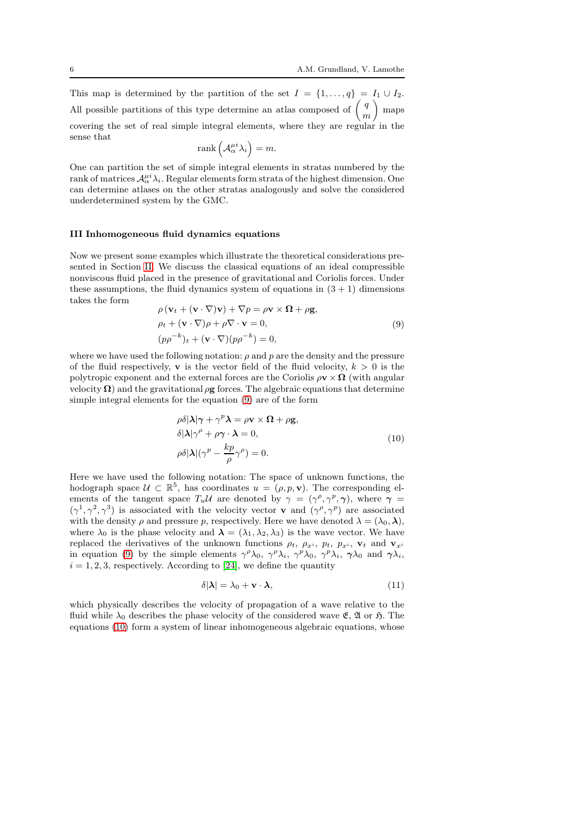This map is determined by the partition of the set  $I = \{1, \ldots, q\} = I_1 \cup I_2$ . All possible partitions of this type determine an atlas composed of  $\left(\begin{array}{c} q \\ q \end{array}\right)$ m maps covering the set of real simple integral elements, where they are regular in the sense that

$$
\mathrm{rank}\left(\mathcal{A}_{\alpha}^{\mu i}\lambda_i\right)=m.
$$

One can partition the set of simple integral elements in stratas numbered by the rank of matrices  $\mathcal{A}_{\alpha}^{\mu i} \lambda_i$ . Regular elements form strata of the highest dimension. One can determine atlases on the other stratas analogously and solve the considered underdetermined system by the GMC.

## <span id="page-5-0"></span>III Inhomogeneous fluid dynamics equations

Now we present some examples which illustrate the theoretical considerations presented in Section [II.](#page-2-0) We discuss the classical equations of an ideal compressible nonviscous fluid placed in the presence of gravitational and Coriolis forces. Under these assumptions, the fluid dynamics system of equations in  $(3 + 1)$  dimensions takes the form

<span id="page-5-1"></span>
$$
\rho(\mathbf{v}_t + (\mathbf{v} \cdot \nabla)\mathbf{v}) + \nabla p = \rho \mathbf{v} \times \mathbf{\Omega} + \rho \mathbf{g},
$$
  
\n
$$
\rho_t + (\mathbf{v} \cdot \nabla)\rho + \rho \nabla \cdot \mathbf{v} = 0,
$$
  
\n
$$
(pp^{-k})_t + (\mathbf{v} \cdot \nabla)(pp^{-k}) = 0,
$$
\n(9)

where we have used the following notation:  $\rho$  and  $p$  are the density and the pressure of the fluid respectively, **v** is the vector field of the fluid velocity,  $k > 0$  is the polytropic exponent and the external forces are the Coriolis  $\rho \mathbf{v} \times \mathbf{\Omega}$  (with angular velocity  $\Omega$ ) and the gravitational  $\rho$ g forces. The algebraic equations that determine simple integral elements for the equation [\(9\)](#page-5-1) are of the form

<span id="page-5-2"></span>
$$
\rho \delta |\lambda| \gamma + \gamma^p \lambda = \rho \mathbf{v} \times \mathbf{\Omega} + \rho \mathbf{g},
$$
  
\n
$$
\delta |\lambda| \gamma^\rho + \rho \gamma \cdot \lambda = 0,
$$
  
\n
$$
\rho \delta |\lambda| (\gamma^\rho - \frac{k p}{\rho} \gamma^\rho) = 0.
$$
\n(10)

Here we have used the following notation: The space of unknown functions, the hodograph space  $U \subset \mathbb{R}^5$ , has coordinates  $u = (\rho, p, \mathbf{v})$ . The corresponding elements of the tangent space  $T_u \mathcal{U}$  are denoted by  $\gamma = (\gamma^\rho, \gamma^\rho, \gamma)$ , where  $\gamma =$  $(\gamma^1, \gamma^2, \gamma^3)$  is associated with the velocity vector **v** and  $(\gamma^{\rho}, \gamma^{\rho})$  are associated with the density  $\rho$  and pressure p, respectively. Here we have denoted  $\lambda = (\lambda_0, \lambda)$ , where  $\lambda_0$  is the phase velocity and  $\lambda = (\lambda_1, \lambda_2, \lambda_3)$  is the wave vector. We have replaced the derivatives of the unknown functions  $\rho_t$ ,  $\rho_{x_i}$ ,  $p_t$ ,  $p_{x_i}$ ,  $\mathbf{v}_t$  and  $\mathbf{v}_{x_i}$ in equation [\(9\)](#page-5-1) by the simple elements  $\gamma^{\rho}\lambda_0$ ,  $\gamma^{\rho}\lambda_i$ ,  $\gamma^{\rho}\lambda_0$ ,  $\gamma^{\rho}\lambda_i$ ,  $\gamma\lambda_0$  and  $\gamma\lambda_i$ ,  $i = 1, 2, 3$ , respectively. According to [\[24\]](#page-28-8), we define the quantity

<span id="page-5-3"></span>
$$
\delta|\lambda| = \lambda_0 + \mathbf{v} \cdot \lambda,\tag{11}
$$

which physically describes the velocity of propagation of a wave relative to the fluid while  $\lambda_0$  describes the phase velocity of the considered wave  $\mathfrak{E}$ ,  $\mathfrak{A}$  or  $\mathfrak{H}$ . The equations [\(10\)](#page-5-2) form a system of linear inhomogeneous algebraic equations, whose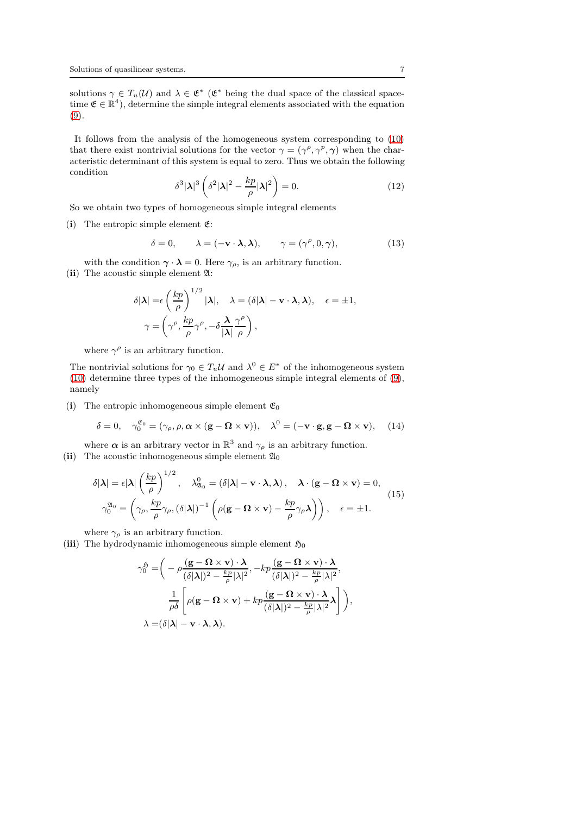solutions  $\gamma \in T_u(\mathcal{U})$  and  $\lambda \in \mathfrak{E}^*$  ( $\mathfrak{E}^*$  being the dual space of the classical spacetime  $\mathfrak{E} \in \mathbb{R}^4$ , determine the simple integral elements associated with the equation [\(9\)](#page-5-1).

It follows from the analysis of the homogeneous system corresponding to [\(10\)](#page-5-2) that there exist nontrivial solutions for the vector  $\gamma = (\gamma^{\rho}, \gamma^{\rho}, \gamma)$  when the characteristic determinant of this system is equal to zero. Thus we obtain the following condition

$$
\delta^3 |\lambda|^3 \left( \delta^2 |\lambda|^2 - \frac{k p}{\rho} |\lambda|^2 \right) = 0. \tag{12}
$$

So we obtain two types of homogeneous simple integral elements

(i) The entropic simple element  $\mathfrak{E}$ :

<span id="page-6-0"></span>
$$
\delta = 0, \qquad \lambda = (-\mathbf{v} \cdot \mathbf{\lambda}, \mathbf{\lambda}), \qquad \gamma = (\gamma^{\rho}, 0, \gamma), \tag{13}
$$

with the condition  $\gamma \cdot \lambda = 0$ . Here  $\gamma_{\rho}$ , is an arbitrary function. (ii) The acoustic simple element A:

$$
\delta |\lambda| = \epsilon \left(\frac{kp}{\rho}\right)^{1/2} |\lambda|, \quad \lambda = (\delta |\lambda| - \mathbf{v} \cdot \lambda, \lambda), \quad \epsilon = \pm 1,
$$

$$
\gamma = \left(\gamma^{\rho}, \frac{kp}{\rho}\gamma^{\rho}, -\delta \frac{\lambda}{|\lambda|} \frac{\gamma^{\rho}}{\rho}\right),
$$

where  $\gamma^{\rho}$  is an arbitrary function.

The nontrivial solutions for  $\gamma_0 \in T_u \mathcal{U}$  and  $\lambda^0 \in E^*$  of the inhomogeneous system [\(10\)](#page-5-2) determine three types of the inhomogeneous simple integral elements of [\(9\)](#page-5-1), namely

(i) The entropic inhomogeneous simple element  $\mathfrak{E}_0$ 

<span id="page-6-1"></span>
$$
\delta = 0, \quad \gamma_0^{\mathfrak{E}_0} = (\gamma_\rho, \rho, \alpha \times (\mathbf{g} - \mathbf{\Omega} \times \mathbf{v})), \quad \lambda^0 = (-\mathbf{v} \cdot \mathbf{g}, \mathbf{g} - \mathbf{\Omega} \times \mathbf{v}), \quad (14)
$$

where  $\alpha$  is an arbitrary vector in  $\mathbb{R}^3$  and  $\gamma_\rho$  is an arbitrary function. (ii) The acoustic inhomogeneous simple element  $\mathfrak{A}_0$ 

<span id="page-6-2"></span>
$$
\delta|\lambda| = \epsilon |\lambda| \left(\frac{kp}{\rho}\right)^{1/2}, \quad \lambda_{\mathfrak{A}_0}^0 = (\delta|\lambda| - \mathbf{v} \cdot \lambda, \lambda), \quad \lambda \cdot (\mathbf{g} - \mathbf{\Omega} \times \mathbf{v}) = 0,
$$
  

$$
\gamma_0^{\mathfrak{A}_0} = \left(\gamma_\rho, \frac{kp}{\rho} \gamma_\rho, (\delta|\lambda|)^{-1} \left(\rho(\mathbf{g} - \mathbf{\Omega} \times \mathbf{v}) - \frac{kp}{\rho} \gamma_\rho \lambda\right)\right), \quad \epsilon = \pm 1.
$$
 (15)

where  $\gamma_{\rho}$  is an arbitrary function.

(iii) The hydrodynamic inhomogeneous simple element  $\mathfrak{H}_0$ 

$$
\gamma_0^5 = \left( -\rho \frac{(\mathbf{g} - \mathbf{\Omega} \times \mathbf{v}) \cdot \mathbf{\lambda}}{(\delta |\mathbf{\lambda}|)^2 - \frac{kp}{\rho} |\lambda|^2}, -kp \frac{(\mathbf{g} - \mathbf{\Omega} \times \mathbf{v}) \cdot \mathbf{\lambda}}{(\delta |\mathbf{\lambda}|)^2 - \frac{kp}{\rho} |\lambda|^2}, \frac{1}{\rho \delta} \left[ \rho(\mathbf{g} - \mathbf{\Omega} \times \mathbf{v}) + kp \frac{(\mathbf{g} - \mathbf{\Omega} \times \mathbf{v}) \cdot \mathbf{\lambda}}{(\delta |\mathbf{\lambda}|)^2 - \frac{kp}{\rho} |\lambda|^2} \mathbf{\lambda} \right] \right),
$$
  

$$
\lambda = (\delta |\mathbf{\lambda}| - \mathbf{v} \cdot \mathbf{\lambda}, \mathbf{\lambda}).
$$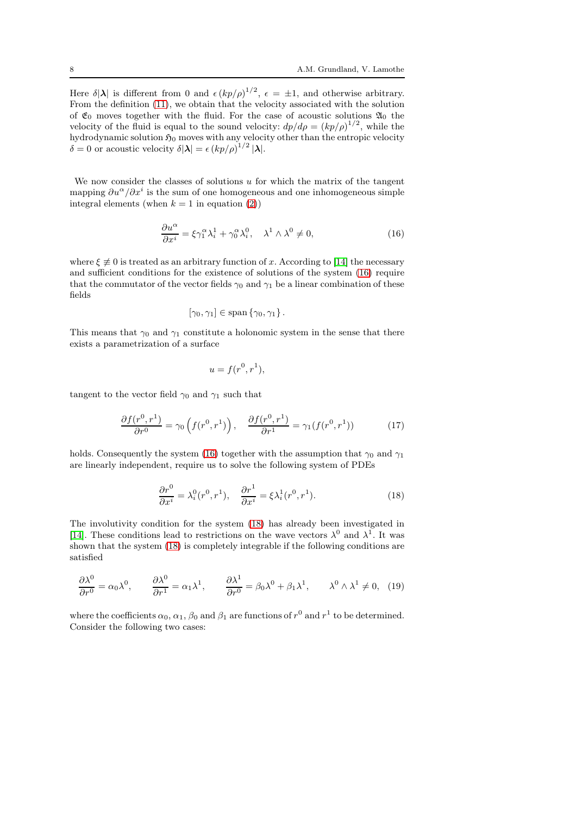Here  $\delta |\lambda|$  is different from 0 and  $\epsilon (kp/\rho)^{1/2}$ ,  $\epsilon = \pm 1$ , and otherwise arbitrary. From the definition [\(11\)](#page-5-3), we obtain that the velocity associated with the solution of  $\mathfrak{E}_0$  moves together with the fluid. For the case of acoustic solutions  $\mathfrak{A}_0$  the velocity of the fluid is equal to the sound velocity:  $dp/d\rho = (kp/\rho)^{1/2}$ , while the hydrodynamic solution  $\mathfrak{H}_0$  moves with any velocity other than the entropic velocity  $\delta = 0$  or acoustic velocity  $\delta |\lambda| = \epsilon (kp/\rho)^{1/2} |\lambda|$ .

We now consider the classes of solutions  $u$  for which the matrix of the tangent mapping  $\partial u^{\alpha}/\partial x^i$  is the sum of one homogeneous and one inhomogeneous simple integral elements (when  $k = 1$  in equation [\(2\)](#page-3-1))

<span id="page-7-0"></span>
$$
\frac{\partial u^{\alpha}}{\partial x^{i}} = \xi \gamma_1^{\alpha} \lambda_i^1 + \gamma_0^{\alpha} \lambda_i^0, \quad \lambda^1 \wedge \lambda^0 \neq 0,
$$
 (16)

where  $\xi \neq 0$  is treated as an arbitrary function of x. According to [\[14\]](#page-28-9) the necessary and sufficient conditions for the existence of solutions of the system [\(16\)](#page-7-0) require that the commutator of the vector fields  $\gamma_0$  and  $\gamma_1$  be a linear combination of these fields

$$
[\gamma_0, \gamma_1] \in \mathrm{span}\left\{\gamma_0, \gamma_1\right\}.
$$

This means that  $\gamma_0$  and  $\gamma_1$  constitute a holonomic system in the sense that there exists a parametrization of a surface

$$
u = f(r^0, r^1),
$$

tangent to the vector field  $\gamma_0$  and  $\gamma_1$  such that

<span id="page-7-3"></span>
$$
\frac{\partial f(r^0, r^1)}{\partial r^0} = \gamma_0 \left( f(r^0, r^1) \right), \quad \frac{\partial f(r^0, r^1)}{\partial r^1} = \gamma_1 (f(r^0, r^1)) \tag{17}
$$

holds. Consequently the system [\(16\)](#page-7-0) together with the assumption that  $\gamma_0$  and  $\gamma_1$ are linearly independent, require us to solve the following system of PDEs

<span id="page-7-1"></span>
$$
\frac{\partial r^0}{\partial x^i} = \lambda_i^0(r^0, r^1), \quad \frac{\partial r^1}{\partial x^i} = \xi \lambda_i^1(r^0, r^1). \tag{18}
$$

The involutivity condition for the system [\(18\)](#page-7-1) has already been investigated in [\[14\]](#page-28-9). These conditions lead to restrictions on the wave vectors  $\lambda^0$  and  $\lambda^1$ . It was shown that the system [\(18\)](#page-7-1) is completely integrable if the following conditions are satisfied

<span id="page-7-2"></span>
$$
\frac{\partial \lambda^0}{\partial r^0} = \alpha_0 \lambda^0, \qquad \frac{\partial \lambda^0}{\partial r^1} = \alpha_1 \lambda^1, \qquad \frac{\partial \lambda^1}{\partial r^0} = \beta_0 \lambda^0 + \beta_1 \lambda^1, \qquad \lambda^0 \wedge \lambda^1 \neq 0, \tag{19}
$$

where the coefficients  $\alpha_0, \alpha_1, \beta_0$  and  $\beta_1$  are functions of  $r^0$  and  $r^1$  to be determined. Consider the following two cases: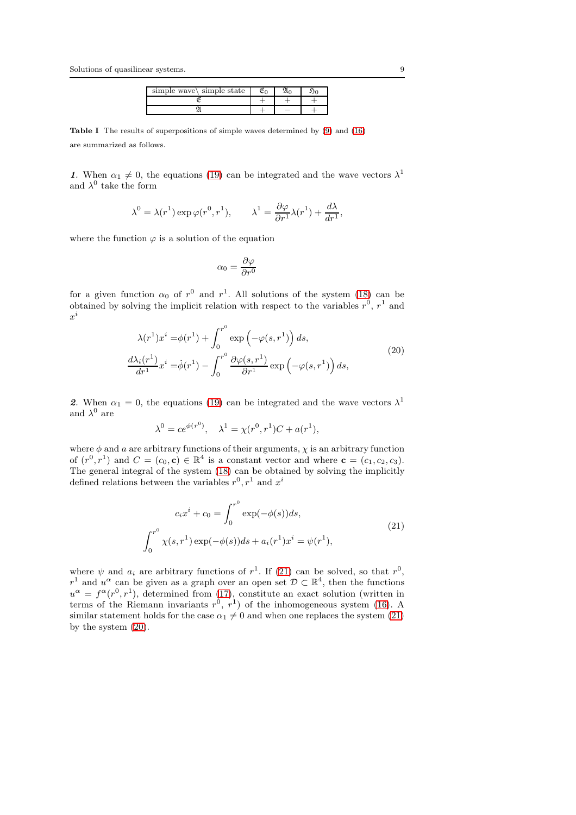| simple wave $\langle$ simple state |  |  |
|------------------------------------|--|--|
|                                    |  |  |
|                                    |  |  |

Table I The results of superpositions of simple waves determined by [\(9\)](#page-5-1) and [\(16\)](#page-7-0) are summarized as follows.

1. When  $\alpha_1 \neq 0$ , the equations [\(19\)](#page-7-2) can be integrated and the wave vectors  $\lambda^1$ and  $\lambda^0$  take the form

$$
\lambda^0 = \lambda(r^1) \exp \varphi(r^0, r^1), \qquad \lambda^1 = \frac{\partial \varphi}{\partial r^1} \lambda(r^1) + \frac{d\lambda}{dr^1},
$$

where the function  $\varphi$  is a solution of the equation

$$
\alpha_0 = \frac{\partial \varphi}{\partial r^0}
$$

for a given function  $\alpha_0$  of  $r^0$  and  $r^1$ . All solutions of the system [\(18\)](#page-7-1) can be obtained by solving the implicit relation with respect to the variables  $r^0$ ,  $r^1$  and  $x^i$ 

<span id="page-8-1"></span>
$$
\lambda(r^1)x^i = \phi(r^1) + \int_0^{r^0} \exp\left(-\varphi(s, r^1)\right) ds,
$$
  
\n
$$
\frac{d\lambda_i(r^1)}{dr^1}x^i = \dot{\phi}(r^1) - \int_0^{r^0} \frac{\partial\varphi(s, r^1)}{\partial r^1} \exp\left(-\varphi(s, r^1)\right) ds,
$$
\n(20)

2. When  $\alpha_1 = 0$ , the equations [\(19\)](#page-7-2) can be integrated and the wave vectors  $\lambda^1$ and  $\lambda^0$  are

$$
\lambda^{0} = ce^{\phi(r^{0})}, \quad \lambda^{1} = \chi(r^{0}, r^{1})C + a(r^{1}),
$$

where  $\phi$  and a are arbitrary functions of their arguments,  $\chi$  is an arbitrary function of  $(r^0, r^1)$  and  $C = (c_0, \mathbf{c}) \in \mathbb{R}^4$  is a constant vector and where  $\mathbf{c} = (c_1, c_2, c_3)$ . The general integral of the system [\(18\)](#page-7-1) can be obtained by solving the implicitly defined relations between the variables  $r^0, r^1$  and  $x^i$ 

<span id="page-8-0"></span>
$$
c_i x^i + c_0 = \int_0^{r^0} \exp(-\phi(s)) ds,
$$
  

$$
\int_0^{r^0} \chi(s, r^1) \exp(-\phi(s)) ds + a_i(r^1) x^i = \psi(r^1),
$$
\n(21)

where  $\psi$  and  $a_i$  are arbitrary functions of  $r^1$ . If [\(21\)](#page-8-0) can be solved, so that  $r^0$ ,  $r^1$  and  $u^{\alpha}$  can be given as a graph over an open set  $\mathcal{D} \subset \mathbb{R}^4$ , then the functions  $u^{\alpha} = f^{\alpha}(r^{0}, r^{1}),$  determined from [\(17\)](#page-7-3), constitute an exact solution (written in terms of the Riemann invariants  $r^0$ ,  $r^1$ ) of the inhomogeneous system [\(16\)](#page-7-0). A similar statement holds for the case  $\alpha_1 \neq 0$  and when one replaces the system [\(21\)](#page-8-0) by the system [\(20\)](#page-8-1).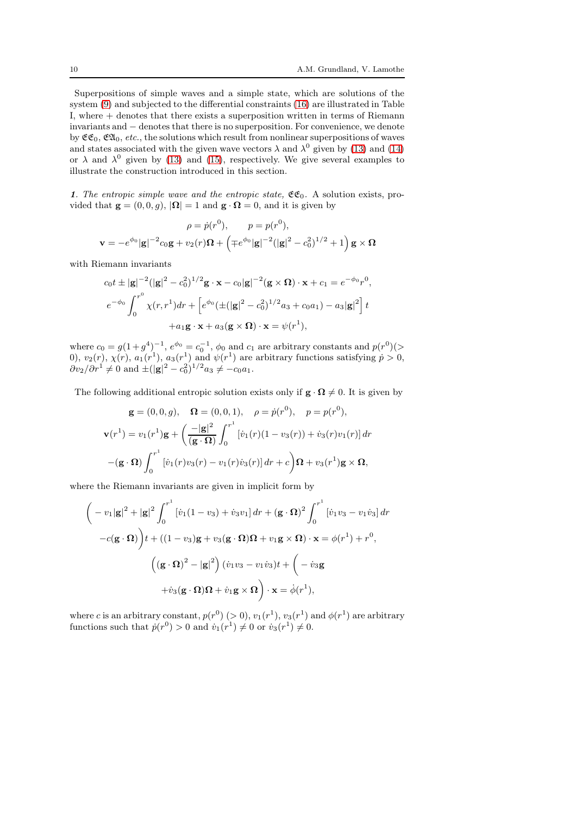Superpositions of simple waves and a simple state, which are solutions of the system [\(9\)](#page-5-1) and subjected to the differential constraints [\(16\)](#page-7-0) are illustrated in Table I, where + denotes that there exists a superposition written in terms of Riemann invariants and − denotes that there is no superposition. For convenience, we denote by  $\mathfrak{CE}_0$ ,  $\mathfrak{EL}_0$ , etc., the solutions which result from nonlinear superpositions of waves and states associated with the given wave vectors  $\lambda$  and  $\lambda^0$  given by [\(13\)](#page-6-0) and [\(14\)](#page-6-1) or  $\lambda$  and  $\lambda^0$  given by [\(13\)](#page-6-0) and [\(15\)](#page-6-2), respectively. We give several examples to illustrate the construction introduced in this section.

1. The entropic simple wave and the entropic state,  $\mathfrak{CE}_0$ . A solution exists, provided that  $\mathbf{g} = (0, 0, g), |\mathbf{\Omega}| = 1$  and  $\mathbf{g} \cdot \mathbf{\Omega} = 0$ , and it is given by

$$
\rho = \dot{p}(r^0), \qquad p = p(r^0),
$$
  

$$
\mathbf{v} = -e^{\phi_0} |\mathbf{g}|^{-2} c_0 \mathbf{g} + v_2(r) \mathbf{\Omega} + \left( \mp e^{\phi_0} |\mathbf{g}|^{-2} (|\mathbf{g}|^2 - c_0^2)^{1/2} + 1 \right) \mathbf{g} \times \mathbf{\Omega}
$$

with Riemann invariants

$$
c_0 t \pm |\mathbf{g}|^{-2} (|\mathbf{g}|^2 - c_0^2)^{1/2} \mathbf{g} \cdot \mathbf{x} - c_0 |\mathbf{g}|^{-2} (\mathbf{g} \times \mathbf{\Omega}) \cdot \mathbf{x} + c_1 = e^{-\phi_0} r^0,
$$
  
\n
$$
e^{-\phi_0} \int_0^{r^0} \chi(r, r^1) dr + \left[ e^{\phi_0} (\pm (|\mathbf{g}|^2 - c_0^2)^{1/2} a_3 + c_0 a_1) - a_3 |\mathbf{g}|^2 \right] t
$$
  
\n
$$
+ a_1 \mathbf{g} \cdot \mathbf{x} + a_3 (\mathbf{g} \times \mathbf{\Omega}) \cdot \mathbf{x} = \psi(r^1),
$$

where  $c_0 = g(1+g^4)^{-1}$ ,  $e^{\phi_0} = c_0^{-1}$ ,  $\phi_0$  and  $c_1$  are arbitrary constants and  $p(r^0)$ (> 0),  $v_2(r)$ ,  $\chi(r)$ ,  $a_1(r^1)$ ,  $a_3(r^1)$  and  $\psi(r^1)$  are arbitrary functions satisfying  $p > 0$ ,  $\partial v_2 / \partial r^1 \neq 0$  and  $\pm (|\mathbf{g}|^2 - c_0^2)^{1/2} a_3 \neq -c_0 a_1$ .

The following additional entropic solution exists only if  $\mathbf{g} \cdot \mathbf{\Omega} \neq 0$ . It is given by

$$
\mathbf{g} = (0, 0, g), \quad \mathbf{\Omega} = (0, 0, 1), \quad \rho = \dot{p}(r^0), \quad p = p(r^0),
$$
  

$$
\mathbf{v}(r^1) = v_1(r^1)\mathbf{g} + \left(\frac{-|\mathbf{g}|^2}{(\mathbf{g} \cdot \mathbf{\Omega})} \int_0^{r^1} [\dot{v}_1(r)(1 - v_3(r)) + \dot{v}_3(r)v_1(r)] dr\right)
$$
  

$$
-(\mathbf{g} \cdot \mathbf{\Omega}) \int_0^{r^1} [\dot{v}_1(r)v_3(r) - v_1(r)\dot{v}_3(r)] dr + c \left(\mathbf{\Omega} + v_3(r^1)\mathbf{g} \times \mathbf{\Omega}\right),
$$

where the Riemann invariants are given in implicit form by

$$
\begin{aligned}\n&\left(-v_1|\mathbf{g}|^2+|\mathbf{g}|^2\int_0^{r^1} \left[\dot{v}_1(1-v_3)+\dot{v}_3v_1\right]dr+\left(\mathbf{g}\cdot\mathbf{\Omega}\right)^2\int_0^{r^1}\left[\dot{v}_1v_3-v_1\dot{v}_3\right]dr\\
-c(\mathbf{g}\cdot\mathbf{\Omega})\right)t+\left((1-v_3)\mathbf{g}+v_3(\mathbf{g}\cdot\mathbf{\Omega})\mathbf{\Omega}+v_1\mathbf{g}\times\mathbf{\Omega}\right)\cdot\mathbf{x}=\phi(r^1)+r^0,\\ \n&\left((\mathbf{g}\cdot\mathbf{\Omega})^2-|\mathbf{g}|^2\right)(\dot{v}_1v_3-v_1\dot{v}_3)t+\left(-\dot{v}_3\mathbf{g}+\\
&\quad+\dot{v}_3(\mathbf{g}\cdot\mathbf{\Omega})\mathbf{\Omega}+\dot{v}_1\mathbf{g}\times\mathbf{\Omega}\right)\cdot\mathbf{x}=\dot{\phi}(r^1),\n\end{aligned}
$$

where c is an arbitrary constant,  $p(r^0)$  (> 0),  $v_1(r^1)$ ,  $v_3(r^1)$  and  $\phi(r^1)$  are arbitrary functions such that  $\dot{p}(r^0) > 0$  and  $\dot{v}_1(r^1) \neq 0$  or  $\dot{v}_3(r^1) \neq 0$ .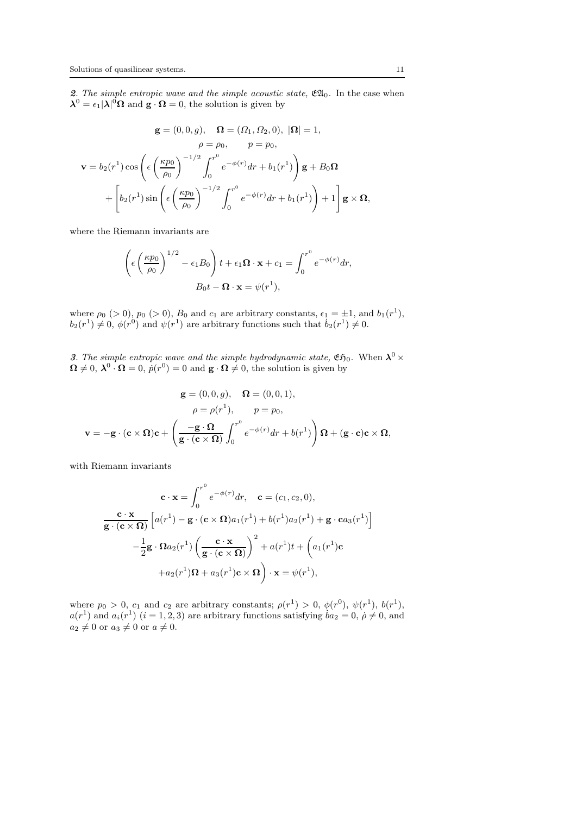2. The simple entropic wave and the simple acoustic state,  $\mathfrak{Cl}_0$ . In the case when  $\lambda^0 = \epsilon_1 |\lambda|^0 \Omega$  and  $g \cdot \Omega = 0$ , the solution is given by

$$
\mathbf{g} = (0, 0, g), \quad \mathbf{\Omega} = (\Omega_1, \Omega_2, 0), \ |\mathbf{\Omega}| = 1,
$$
  
\n
$$
\rho = \rho_0, \qquad p = p_0,
$$
  
\n
$$
\mathbf{v} = b_2(r^1) \cos \left( \epsilon \left( \frac{\kappa p_0}{\rho_0} \right)^{-1/2} \int_0^{r^0} e^{-\phi(r)} dr + b_1(r^1) \right) \mathbf{g} + B_0 \mathbf{\Omega}
$$
  
\n
$$
+ \left[ b_2(r^1) \sin \left( \epsilon \left( \frac{\kappa p_0}{\rho_0} \right)^{-1/2} \int_0^{r^0} e^{-\phi(r)} dr + b_1(r^1) \right) + 1 \right] \mathbf{g} \times \mathbf{\Omega},
$$

where the Riemann invariants are

$$
\left(\epsilon \left(\frac{\kappa p_0}{\rho_0}\right)^{1/2} - \epsilon_1 B_0\right)t + \epsilon_1 \Omega \cdot \mathbf{x} + c_1 = \int_0^{r^0} e^{-\phi(r)} dr,
$$

$$
B_0 t - \Omega \cdot \mathbf{x} = \psi(r^1),
$$

where  $\rho_0$  (> 0),  $p_0$  (> 0),  $B_0$  and  $c_1$  are arbitrary constants,  $\epsilon_1 = \pm 1$ , and  $b_1(r^1)$ ,  $b_2(r^1) \neq 0, \, \phi(r^0)$  and  $\psi(r^1)$  are arbitrary functions such that  $b_2(r^1) \neq 0$ .

3. The simple entropic wave and the simple hydrodynamic state,  $\mathfrak{E}$ 50. When  $\lambda^0 \times$  $\mathbf{\Omega} \neq 0$ ,  $\mathbf{\lambda}^0 \cdot \mathbf{\Omega} = 0$ ,  $\dot{p}(r^0) = 0$  and  $\mathbf{g} \cdot \mathbf{\Omega} \neq 0$ , the solution is given by

$$
\mathbf{g} = (0, 0, g), \quad \mathbf{\Omega} = (0, 0, 1),
$$

$$
\rho = \rho(r^1), \qquad p = p_0,
$$

$$
\mathbf{v} = -\mathbf{g} \cdot (\mathbf{c} \times \mathbf{\Omega}) \mathbf{c} + \left(\frac{-\mathbf{g} \cdot \mathbf{\Omega}}{\mathbf{g} \cdot (\mathbf{c} \times \mathbf{\Omega})} \int_0^{r^0} e^{-\phi(r)} dr + b(r^1) \right) \mathbf{\Omega} + (\mathbf{g} \cdot \mathbf{c}) \mathbf{c} \times \mathbf{\Omega},
$$

with Riemann invariants

$$
\mathbf{c} \cdot \mathbf{x} = \int_0^{r^0} e^{-\phi(r)} dr, \quad \mathbf{c} = (c_1, c_2, 0),
$$
  

$$
\frac{\mathbf{c} \cdot \mathbf{x}}{\mathbf{g} \cdot (\mathbf{c} \times \mathbf{\Omega})} \left[ a(r^1) - \mathbf{g} \cdot (\mathbf{c} \times \mathbf{\Omega}) a_1(r^1) + b(r^1) a_2(r^1) + \mathbf{g} \cdot \mathbf{c} a_3(r^1) \right]
$$

$$
- \frac{1}{2} \mathbf{g} \cdot \mathbf{\Omega} a_2(r^1) \left( \frac{\mathbf{c} \cdot \mathbf{x}}{\mathbf{g} \cdot (\mathbf{c} \times \mathbf{\Omega})} \right)^2 + a(r^1) t + \left( a_1(r^1) \mathbf{c} + a_2(r^1) \mathbf{\Omega} + a_3(r^1) \mathbf{c} \times \mathbf{\Omega} \right) \cdot \mathbf{x} = \psi(r^1),
$$

where  $p_0 > 0$ ,  $c_1$  and  $c_2$  are arbitrary constants;  $\rho(r^1) > 0$ ,  $\phi(r^0)$ ,  $\psi(r^1)$ ,  $b(r^1)$ ,  $a(r^1)$  and  $a_i(r^1)$   $(i = 1, 2, 3)$  are arbitrary functions satisfying  $ba_2 = 0$ ,  $\rho \neq 0$ , and  $a_2 \neq 0$  or  $a_3 \neq 0$  or  $a \neq 0$ .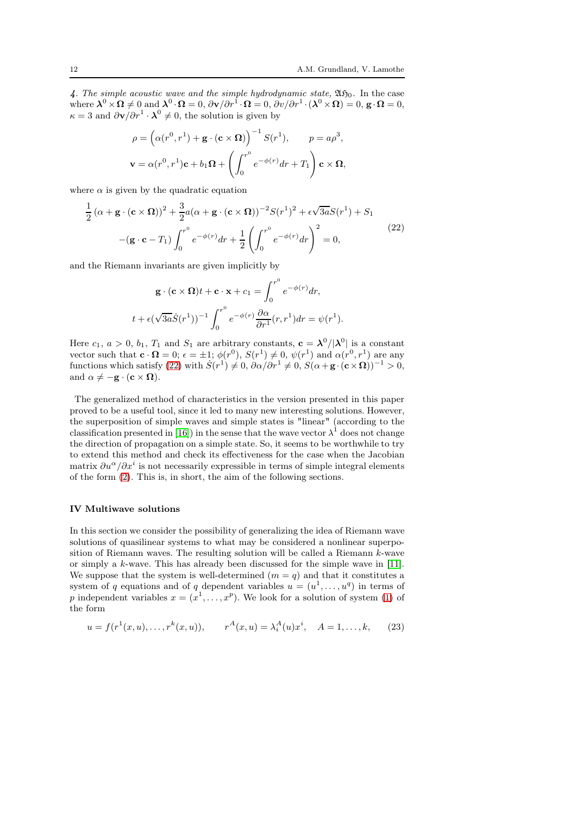4. The simple acoustic wave and the simple hydrodynamic state,  $\mathfrak{A}\mathfrak{H}_0$ . In the case where  $\lambda^0 \times \Omega \neq 0$  and  $\lambda^0 \cdot \Omega = 0$ ,  $\partial \mathbf{v}/\partial r^1 \cdot \Omega = 0$ ,  $\partial v/\partial r^1 \cdot (\lambda^0 \times \Omega) = 0$ ,  $\mathbf{g} \cdot \Omega = 0$ ,  $\kappa = 3$  and  $\partial \mathbf{v}/\partial r^1 \cdot \mathbf{\lambda}^0 \neq 0$ , the solution is given by

$$
\rho = \left(\alpha(r^0, r^1) + \mathbf{g} \cdot (\mathbf{c} \times \mathbf{\Omega})\right)^{-1} S(r^1), \qquad p = a\rho^3,
$$
  

$$
\mathbf{v} = \alpha(r^0, r^1)\mathbf{c} + b_1\mathbf{\Omega} + \left(\int_0^{r^0} e^{-\phi(r)} dr + T_1\right) \mathbf{c} \times \mathbf{\Omega},
$$

where  $\alpha$  is given by the quadratic equation

<span id="page-11-1"></span>
$$
\frac{1}{2}(\alpha + \mathbf{g} \cdot (\mathbf{c} \times \mathbf{\Omega}))^{2} + \frac{3}{2}a(\alpha + \mathbf{g} \cdot (\mathbf{c} \times \mathbf{\Omega}))^{-2}S(r^{1})^{2} + \epsilon\sqrt{3a}S(r^{1}) + S_{1}
$$

$$
-(\mathbf{g} \cdot \mathbf{c} - T_{1})\int_{0}^{r^{0}} e^{-\phi(r)}dr + \frac{1}{2}\left(\int_{0}^{r^{0}} e^{-\phi(r)}dr\right)^{2} = 0,
$$
(22)

and the Riemann invariants are given implicitly by

$$
\mathbf{g} \cdot (\mathbf{c} \times \mathbf{\Omega})t + \mathbf{c} \cdot \mathbf{x} + c_1 = \int_0^{r^0} e^{-\phi(r)} dr,
$$
  

$$
t + \epsilon (\sqrt{3a} \dot{S}(r^1))^{-1} \int_0^{r^0} e^{-\phi(r)} \frac{\partial \alpha}{\partial r^1}(r, r^1) dr = \psi(r^1).
$$

Here  $c_1, a > 0, b_1, T_1$  and  $S_1$  are arbitrary constants,  $c = \lambda^0/|\lambda^0|$  is a constant vector such that  $\mathbf{c} \cdot \mathbf{\Omega} = 0$ ;  $\epsilon = \pm 1$ ;  $\phi(r^0)$ ,  $S(r^1) \neq 0$ ,  $\psi(r^1)$  and  $\alpha(r^0, r^1)$  are any functions which satisfy [\(22\)](#page-11-1) with  $S(r^1) \neq 0$ ,  $\partial \alpha / \partial r^1 \neq 0$ ,  $S(\alpha + \mathbf{g} \cdot (\mathbf{c} \times \mathbf{\Omega}))^{-1} > 0$ , and  $\alpha \neq -\mathbf{g} \cdot (\mathbf{c} \times \mathbf{\Omega}).$ 

The generalized method of characteristics in the version presented in this paper proved to be a useful tool, since it led to many new interesting solutions. However, the superposition of simple waves and simple states is "linear" (according to the classification presented in [\[16\]](#page-28-5)) in the sense that the wave vector  $\lambda^1$  does not change the direction of propagation on a simple state. So, it seems to be worthwhile to try to extend this method and check its effectiveness for the case when the Jacobian matrix  $\partial u^{\alpha}/\partial x^{i}$  is not necessarily expressible in terms of simple integral elements of the form [\(2\)](#page-3-1). This is, in short, the aim of the following sections.

#### <span id="page-11-0"></span>IV Multiwave solutions

In this section we consider the possibility of generalizing the idea of Riemann wave solutions of quasilinear systems to what may be considered a nonlinear superposition of Riemann waves. The resulting solution will be called a Riemann k-wave or simply a k-wave. This has already been discussed for the simple wave in [\[11\]](#page-28-11). We suppose that the system is well-determined  $(m = q)$  and that it constitutes a system of q equations and of q dependent variables  $u = (u^1, \dots, u^q)$  in terms of p independent variables  $x = (x^1, \ldots, x^p)$ . We look for a solution of system [\(1\)](#page-2-1) of the form

<span id="page-11-2"></span>
$$
u = f(r^{1}(x, u), \dots, r^{k}(x, u)), \qquad r^{A}(x, u) = \lambda_{i}^{A}(u)x^{i}, \quad A = 1, \dots, k, \tag{23}
$$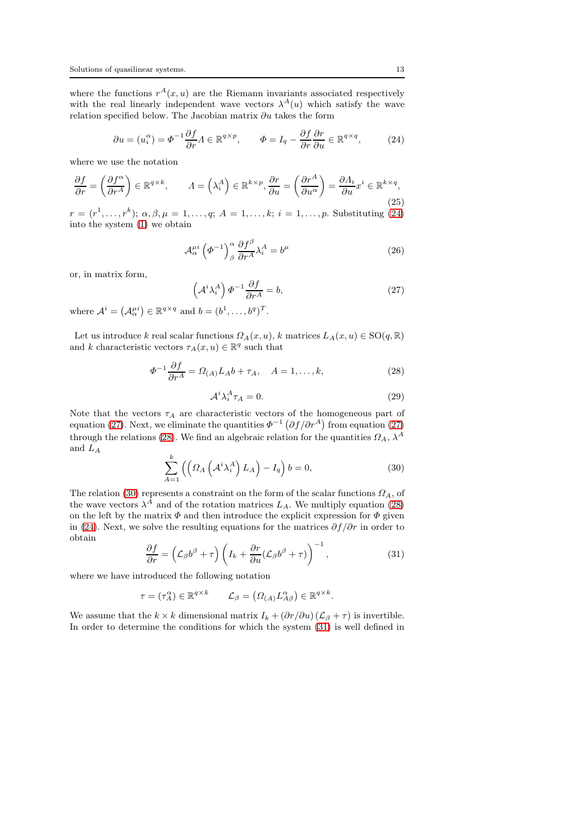where the functions  $r^{A}(x, u)$  are the Riemann invariants associated respectively with the real linearly independent wave vectors  $\lambda^{A}(u)$  which satisfy the wave relation specified below. The Jacobian matrix  $\partial u$  takes the form

<span id="page-12-0"></span>
$$
\partial u = (u_i^{\alpha}) = \Phi^{-1} \frac{\partial f}{\partial r} \Lambda \in \mathbb{R}^{q \times p}, \qquad \Phi = I_q - \frac{\partial f}{\partial r} \frac{\partial r}{\partial u} \in \mathbb{R}^{q \times q}, \tag{24}
$$

where we use the notation

<span id="page-12-6"></span>
$$
\frac{\partial f}{\partial r} = \left(\frac{\partial f^{\alpha}}{\partial r^{A}}\right) \in \mathbb{R}^{q \times k}, \qquad A = \left(\lambda_{i}^{A}\right) \in \mathbb{R}^{k \times p}, \frac{\partial r}{\partial u} = \left(\frac{\partial r^{A}}{\partial u^{\alpha}}\right) = \frac{\partial \Lambda_{i}}{\partial u} x^{i} \in \mathbb{R}^{k \times q},\tag{25}
$$

 $r = (r^1, \ldots, r^k); \alpha, \beta, \mu = 1, \ldots, q; A = 1, \ldots, k; i = 1, \ldots, p.$  Substituting [\(24\)](#page-12-0) into the system [\(1\)](#page-2-1) we obtain

<span id="page-12-7"></span>
$$
\mathcal{A}_{\alpha}^{\mu i} \left(\varPhi^{-1}\right)_{\beta}^{\alpha} \frac{\partial f^{\beta}}{\partial r^A} \lambda_i^A = b^{\mu} \tag{26}
$$

or, in matrix form,

<span id="page-12-1"></span>
$$
\left(\mathcal{A}^i \lambda_i^A\right) \varPhi^{-1} \frac{\partial f}{\partial r^A} = b,\tag{27}
$$

where  $\mathcal{A}^i = (\mathcal{A}_{\alpha}^{\mu i}) \in \mathbb{R}^{q \times q}$  and  $b = (b^1, \dots, b^q)^T$ .

Let us introduce k real scalar functions  $\Omega_A(x, u)$ , k matrices  $L_A(x, u) \in SO(q, \mathbb{R})$ and k characteristic vectors  $\tau_A(x, u) \in \mathbb{R}^q$  such that

<span id="page-12-2"></span>
$$
\Phi^{-1}\frac{\partial f}{\partial r^A} = \Omega_{(A)}L_A b + \tau_A, \quad A = 1, \dots, k,
$$
\n(28)

<span id="page-12-5"></span>
$$
\mathcal{A}^i \lambda_i^A \tau_A = 0. \tag{29}
$$

Note that the vectors  $\tau_A$  are characteristic vectors of the homogeneous part of equation [\(27\)](#page-12-1). Next, we eliminate the quantities  $\Phi^{-1}(\partial f/\partial r^A)$  from equation (27) through the relations [\(28\)](#page-12-2). We find an algebraic relation for the quantities  $\Omega_A$  ,  $\lambda^A$ and  $L_A$ 

<span id="page-12-3"></span>
$$
\sum_{A=1}^{k} \left( \left( \Omega_A \left( \mathcal{A}^i \lambda_i^A \right) L_A \right) - I_q \right) b = 0, \tag{30}
$$

The relation [\(30\)](#page-12-3) represents a constraint on the form of the scalar functions  $\Omega_A$ , of the wave vectors  $\lambda^A$  and of the rotation matrices  $L_A$ . We multiply equation [\(28\)](#page-12-2) on the left by the matrix  $\Phi$  and then introduce the explicit expression for  $\Phi$  given in [\(24\)](#page-12-0). Next, we solve the resulting equations for the matrices  $\partial f/\partial r$  in order to obtain

<span id="page-12-4"></span>
$$
\frac{\partial f}{\partial r} = \left(\mathcal{L}_{\beta}b^{\beta} + \tau\right) \left(I_k + \frac{\partial r}{\partial u}(\mathcal{L}_{\beta}b^{\beta} + \tau)\right)^{-1},\tag{31}
$$

where we have introduced the following notation

$$
\tau = (\tau_A^{\alpha}) \in \mathbb{R}^{q \times k} \qquad \mathcal{L}_{\beta} = (\Omega_{(A)} L_{A\beta}^{\alpha}) \in \mathbb{R}^{q \times k}.
$$

We assume that the  $k \times k$  dimensional matrix  $I_k + (\partial r/\partial u) (\mathcal{L}_{\beta} + \tau)$  is invertible. In order to determine the conditions for which the system [\(31\)](#page-12-4) is well defined in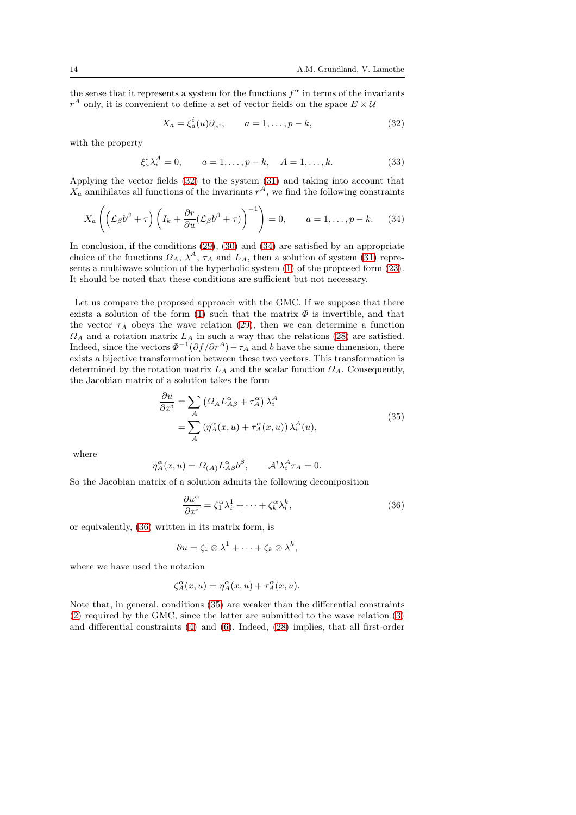the sense that it represents a system for the functions  $f^{\alpha}$  in terms of the invariants  $r^A$  only, it is convenient to define a set of vector fields on the space  $E\times\mathcal{U}$ 

<span id="page-13-0"></span>
$$
X_a = \xi_a^i(u)\partial_{x^i}, \qquad a = 1, \dots, p - k,\tag{32}
$$

with the property

<span id="page-13-4"></span>
$$
\xi_a^i \lambda_i^A = 0, \qquad a = 1, \dots, p - k, \quad A = 1, \dots, k. \tag{33}
$$

Applying the vector fields [\(32\)](#page-13-0) to the system [\(31\)](#page-12-4) and taking into account that  $X_a$  annihilates all functions of the invariants  $r^A$ , we find the following constraints

<span id="page-13-1"></span>
$$
X_a\left(\left(\mathcal{L}_{\beta}b^{\beta}+\tau\right)\left(I_k+\frac{\partial r}{\partial u}(\mathcal{L}_{\beta}b^{\beta}+\tau)\right)^{-1}\right)=0, \qquad a=1,\ldots,p-k. \tag{34}
$$

In conclusion, if the conditions [\(29\)](#page-12-5), [\(30\)](#page-12-3) and [\(34\)](#page-13-1) are satisfied by an appropriate choice of the functions  $\Omega_A$ ,  $\lambda^A$ ,  $\tau_A$  and  $L_A$ , then a solution of system [\(31\)](#page-12-4) represents a multiwave solution of the hyperbolic system [\(1\)](#page-2-1) of the proposed form [\(23\)](#page-11-2). It should be noted that these conditions are sufficient but not necessary.

Let us compare the proposed approach with the GMC. If we suppose that there exists a solution of the form [\(1\)](#page-2-1) such that the matrix  $\Phi$  is invertible, and that the vector  $\tau_A$  obeys the wave relation [\(29\)](#page-12-5), then we can determine a function  $\Omega_A$  and a rotation matrix  $L_A$  in such a way that the relations [\(28\)](#page-12-2) are satisfied. Indeed, since the vectors  $\Phi^{-1}(\partial f/\partial r^A) - \tau_A$  and b have the same dimension, there exists a bijective transformation between these two vectors. This transformation is determined by the rotation matrix  $L_A$  and the scalar function  $\Omega_A$ . Consequently, the Jacobian matrix of a solution takes the form

<span id="page-13-3"></span>
$$
\frac{\partial u}{\partial x^i} = \sum_A \left( \Omega_A L_{A\beta}^\alpha + \tau_A^\alpha \right) \lambda_i^A
$$
  
= 
$$
\sum_A \left( \eta_A^\alpha(x, u) + \tau_A^\alpha(x, u) \right) \lambda_i^A(u),
$$
 (35)

where

$$
\eta_A^{\alpha}(x, u) = \Omega_{(A)} L_{A\beta}^{\alpha} b^{\beta}, \qquad \mathcal{A}^i \lambda_i^A \tau_A = 0.
$$

So the Jacobian matrix of a solution admits the following decomposition

<span id="page-13-2"></span>
$$
\frac{\partial u^{\alpha}}{\partial x^{i}} = \zeta_{1}^{\alpha} \lambda_{i}^{1} + \dots + \zeta_{k}^{\alpha} \lambda_{i}^{k},
$$
\n(36)

or equivalently, [\(36\)](#page-13-2) written in its matrix form, is

$$
\partial u = \zeta_1 \otimes \lambda^1 + \cdots + \zeta_k \otimes \lambda^k,
$$

where we have used the notation

$$
\zeta_A^{\alpha}(x, u) = \eta_A^{\alpha}(x, u) + \tau_A^{\alpha}(x, u).
$$

Note that, in general, conditions [\(35\)](#page-13-3) are weaker than the differential constraints [\(2\)](#page-3-1) required by the GMC, since the latter are submitted to the wave relation [\(3\)](#page-3-0) and differential constraints [\(4\)](#page-3-4) and [\(6\)](#page-3-3). Indeed, [\(28\)](#page-12-2) implies, that all first-order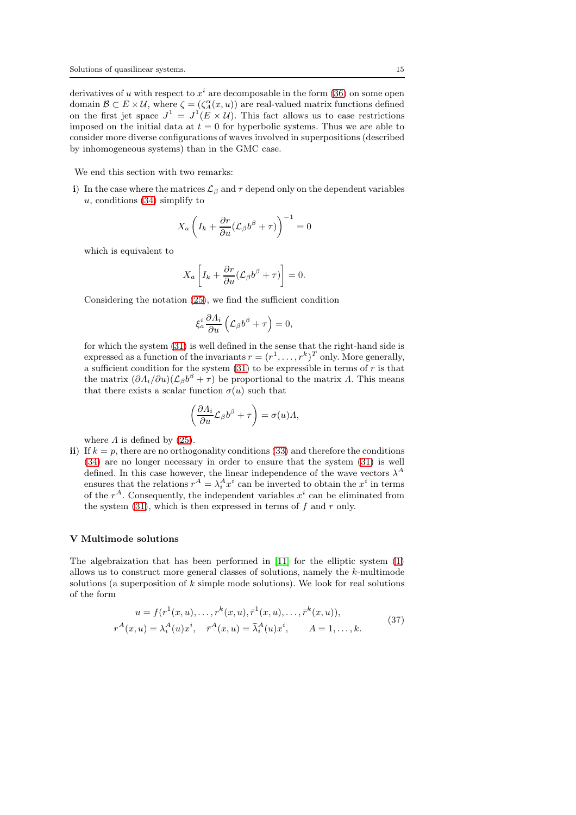derivatives of u with respect to  $x^i$  are decomposable in the form [\(36\)](#page-13-2) on some open domain  $\mathcal{B} \subset E \times \mathcal{U}$ , where  $\zeta = (\zeta_A^{\alpha}(x, u))$  are real-valued matrix functions defined on the first jet space  $J^1 = J^1(E \times U)$ . This fact allows us to ease restrictions imposed on the initial data at  $t = 0$  for hyperbolic systems. Thus we are able to consider more diverse configurations of waves involved in superpositions (described by inhomogeneous systems) than in the GMC case.

We end this section with two remarks:

i) In the case where the matrices  $\mathcal{L}_{\beta}$  and  $\tau$  depend only on the dependent variables  $u$ , conditions [\(34\)](#page-13-1) simplify to

$$
X_a\left(I_k+\frac{\partial r}{\partial u}(\mathcal{L}_{\beta}b^{\beta}+\tau)\right)^{-1}=0
$$

which is equivalent to

$$
X_a \left[ I_k + \frac{\partial r}{\partial u} (\mathcal{L}_{\beta} b^{\beta} + \tau) \right] = 0.
$$

Considering the notation [\(25\)](#page-12-6), we find the sufficient condition

$$
\xi_a^i \frac{\partial \Lambda_i}{\partial u} \left( \mathcal{L}_{\beta} b^{\beta} + \tau \right) = 0,
$$

for which the system [\(31\)](#page-12-4) is well defined in the sense that the right-hand side is expressed as a function of the invariants  $r = (r^1, \ldots, r^k)^T$  only. More generally, a sufficient condition for the system  $(31)$  to be expressible in terms of r is that the matrix  $(\partial \Lambda_i/\partial u)(\mathcal{L}_{\beta}b^{\beta} + \tau)$  be proportional to the matrix  $\Lambda$ . This means that there exists a scalar function  $\sigma(u)$  such that

$$
\left(\frac{\partial \Lambda_i}{\partial u}\mathcal{L}_{\beta}b^{\beta} + \tau\right) = \sigma(u)\Lambda,
$$

where  $\Lambda$  is defined by [\(25\)](#page-12-6).

ii) If  $k = p$ , there are no orthogonality conditions [\(33\)](#page-13-4) and therefore the conditions [\(34\)](#page-13-1) are no longer necessary in order to ensure that the system [\(31\)](#page-12-4) is well defined. In this case however, the linear independence of the wave vectors  $\lambda^A$ ensures that the relations  $r^A = \lambda_i^A x^i$  can be inverted to obtain the  $x^i$  in terms of the  $r^A$ . Consequently, the independent variables  $x^i$  can be eliminated from the system  $(31)$ , which is then expressed in terms of f and r only.

#### <span id="page-14-0"></span>V Multimode solutions

The algebraization that has been performed in [\[11\]](#page-28-11) for the elliptic system [\(1\)](#page-2-1) allows us to construct more general classes of solutions, namely the k-multimode solutions (a superposition of  $k$  simple mode solutions). We look for real solutions of the form

<span id="page-14-1"></span>
$$
u = f(r^{1}(x, u), \dots, r^{k}(x, u), \bar{r}^{1}(x, u), \dots, \bar{r}^{k}(x, u)),
$$
  
\n
$$
r^{A}(x, u) = \lambda_{i}^{A}(u)x^{i}, \quad \bar{r}^{A}(x, u) = \bar{\lambda}_{i}^{A}(u)x^{i}, \qquad A = 1, \dots, k.
$$
\n(37)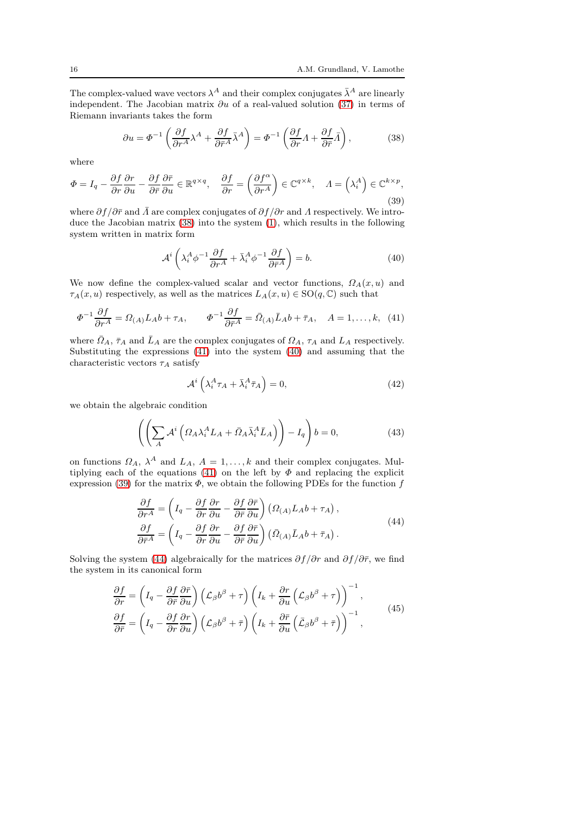The complex-valued wave vectors  $\lambda^A$  and their complex conjugates  $\bar{\lambda}^A$  are linearly independent. The Jacobian matrix  $\partial u$  of a real-valued solution [\(37\)](#page-14-1) in terms of Riemann invariants takes the form

<span id="page-15-0"></span>
$$
\partial u = \Phi^{-1} \left( \frac{\partial f}{\partial r^A} \lambda^A + \frac{\partial f}{\partial \bar{r}^A} \bar{\lambda}^A \right) = \Phi^{-1} \left( \frac{\partial f}{\partial r} A + \frac{\partial f}{\partial \bar{r}} \bar{A} \right),\tag{38}
$$

where

<span id="page-15-3"></span>
$$
\Phi = I_q - \frac{\partial f}{\partial r} \frac{\partial r}{\partial u} - \frac{\partial f}{\partial \bar{r}} \frac{\partial \bar{r}}{\partial u} \in \mathbb{R}^{q \times q}, \quad \frac{\partial f}{\partial r} = \left(\frac{\partial f^{\alpha}}{\partial r^A}\right) \in \mathbb{C}^{q \times k}, \quad \Lambda = \left(\lambda_i^A\right) \in \mathbb{C}^{k \times p},\tag{39}
$$

where  $\partial f/\partial \bar{r}$  and  $\bar{A}$  are complex conjugates of  $\partial f/\partial r$  and  $\bar{A}$  respectively. We introduce the Jacobian matrix [\(38\)](#page-15-0) into the system [\(1\)](#page-2-1), which results in the following system written in matrix form

<span id="page-15-2"></span>
$$
\mathcal{A}^i \left( \lambda_i^A \phi^{-1} \frac{\partial f}{\partial r^A} + \bar{\lambda}_i^A \phi^{-1} \frac{\partial f}{\partial \bar{r}^A} \right) = b. \tag{40}
$$

We now define the complex-valued scalar and vector functions,  $\Omega_A(x, u)$  and  $\tau_A(x, u)$  respectively, as well as the matrices  $L_A(x, u) \in SO(q, \mathbb{C})$  such that

<span id="page-15-1"></span>
$$
\Phi^{-1}\frac{\partial f}{\partial r^A} = \Omega_{(A)}L_A b + \tau_A, \qquad \Phi^{-1}\frac{\partial f}{\partial \bar{r}^A} = \bar{\Omega}_{(A)}\bar{L}_A b + \bar{\tau}_A, \quad A = 1, \dots, k, \tag{41}
$$

where  $\bar{Q}_A$ ,  $\bar{\tau}_A$  and  $\bar{L}_A$  are the complex conjugates of  $\Omega_A$ ,  $\tau_A$  and  $L_A$  respectively. Substituting the expressions [\(41\)](#page-15-1) into the system [\(40\)](#page-15-2) and assuming that the characteristic vectors  $\tau_A$  satisfy

<span id="page-15-6"></span>
$$
\mathcal{A}^i \left( \lambda_i^A \tau_A + \bar{\lambda}_i^A \bar{\tau}_A \right) = 0, \tag{42}
$$

we obtain the algebraic condition

<span id="page-15-7"></span>
$$
\left( \left( \sum_{A} \mathcal{A}^{i} \left( \Omega_{A} \lambda_{i}^{A} L_{A} + \bar{\Omega}_{A} \bar{\lambda}_{i}^{A} \bar{L}_{A} \right) \right) - I_{q} \right) b = 0, \tag{43}
$$

on functions  $\Omega_A$ ,  $\lambda^A$  and  $L_A$ ,  $A = 1, ..., k$  and their complex conjugates. Mul-tiplying each of the equations [\(41\)](#page-15-1) on the left by  $\Phi$  and replacing the explicit expression [\(39\)](#page-15-3) for the matrix  $\Phi$ , we obtain the following PDEs for the function f

<span id="page-15-4"></span>
$$
\frac{\partial f}{\partial r^A} = \left( I_q - \frac{\partial f}{\partial r} \frac{\partial r}{\partial u} - \frac{\partial f}{\partial \bar{r}} \frac{\partial \bar{r}}{\partial u} \right) \left( \Omega_{(A)} L_A b + \tau_A \right),\n\frac{\partial f}{\partial \bar{r}^A} = \left( I_q - \frac{\partial f}{\partial r} \frac{\partial r}{\partial u} - \frac{\partial f}{\partial \bar{r}} \frac{\partial \bar{r}}{\partial u} \right) \left( \bar{\Omega}_{(A)} \bar{L}_A b + \bar{\tau}_A \right).
$$
\n(44)

Solving the system [\(44\)](#page-15-4) algebraically for the matrices  $\partial f/\partial r$  and  $\partial f/\partial \bar{r}$ , we find the system in its canonical form

<span id="page-15-5"></span>
$$
\frac{\partial f}{\partial r} = \left( I_q - \frac{\partial f}{\partial \bar{r}} \frac{\partial \bar{r}}{\partial u} \right) \left( \mathcal{L}_{\beta} b^{\beta} + \tau \right) \left( I_k + \frac{\partial r}{\partial u} \left( \mathcal{L}_{\beta} b^{\beta} + \tau \right) \right)^{-1},
$$
\n
$$
\frac{\partial f}{\partial \bar{r}} = \left( I_q - \frac{\partial f}{\partial r} \frac{\partial r}{\partial u} \right) \left( \mathcal{L}_{\beta} b^{\beta} + \bar{\tau} \right) \left( I_k + \frac{\partial \bar{r}}{\partial u} \left( \bar{\mathcal{L}}_{\beta} b^{\beta} + \bar{\tau} \right) \right)^{-1},
$$
\n(45)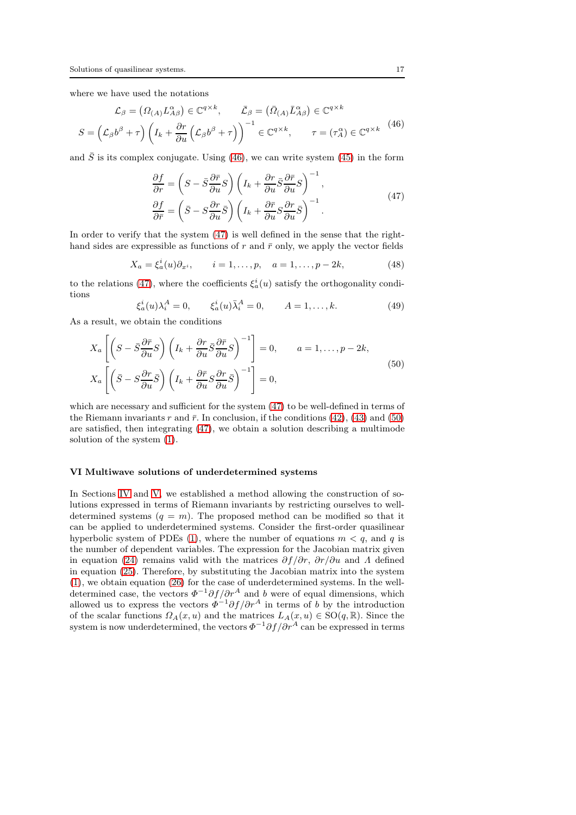where we have used the notations

<span id="page-16-1"></span>
$$
\mathcal{L}_{\beta} = (\Omega_{(A)} L_{A\beta}^{\alpha}) \in \mathbb{C}^{q \times k}, \qquad \bar{\mathcal{L}}_{\beta} = (\bar{\Omega}_{(A)} \bar{L}_{A\beta}^{\alpha}) \in \mathbb{C}^{q \times k}
$$
\n
$$
S = (\mathcal{L}_{\beta} b^{\beta} + \tau) \left( I_k + \frac{\partial r}{\partial u} \left( \mathcal{L}_{\beta} b^{\beta} + \tau \right) \right)^{-1} \in \mathbb{C}^{q \times k}, \qquad \tau = (\tau_A^{\alpha}) \in \mathbb{C}^{q \times k} \tag{46}
$$

and  $\bar{S}$  is its complex conjugate. Using [\(46\)](#page-16-1), we can write system [\(45\)](#page-15-5) in the form

<span id="page-16-2"></span>
$$
\frac{\partial f}{\partial r} = \left( S - \bar{S} \frac{\partial \bar{r}}{\partial u} S \right) \left( I_k + \frac{\partial r}{\partial u} \bar{S} \frac{\partial \bar{r}}{\partial u} S \right)^{-1}, \n\frac{\partial f}{\partial \bar{r}} = \left( \bar{S} - S \frac{\partial r}{\partial u} \bar{S} \right) \left( I_k + \frac{\partial \bar{r}}{\partial u} S \frac{\partial r}{\partial u} \bar{S} \right)^{-1}.
$$
\n(47)

In order to verify that the system [\(47\)](#page-16-2) is well defined in the sense that the righthand sides are expressible as functions of r and  $\bar{r}$  only, we apply the vector fields

<span id="page-16-4"></span>
$$
X_a = \xi_a^i(u)\partial_{x^i}, \qquad i = 1, \dots, p, \quad a = 1, \dots, p - 2k,
$$
 (48)

to the relations [\(47\)](#page-16-2), where the coefficients  $\xi_a^i(u)$  satisfy the orthogonality conditions

<span id="page-16-5"></span>
$$
\xi_a^i(u)\lambda_i^A = 0, \qquad \xi_a^i(u)\bar{\lambda}_i^A = 0, \qquad A = 1, ..., k.
$$
 (49)

As a result, we obtain the conditions

<span id="page-16-3"></span>
$$
X_{a}\left[\left(S-\bar{S}\frac{\partial\bar{r}}{\partial u}S\right)\left(I_{k}+\frac{\partial r}{\partial u}\bar{S}\frac{\partial\bar{r}}{\partial u}S\right)^{-1}\right]=0, \qquad a=1,\ldots,p-2k,
$$
  

$$
X_{a}\left[\left(\bar{S}-S\frac{\partial r}{\partial u}\bar{S}\right)\left(I_{k}+\frac{\partial\bar{r}}{\partial u}S\frac{\partial r}{\partial u}\bar{S}\right)^{-1}\right]=0,
$$
 (50)

which are necessary and sufficient for the system  $(47)$  to be well-defined in terms of the Riemann invariants r and  $\bar{r}$ . In conclusion, if the conditions [\(42\)](#page-15-6), [\(43\)](#page-15-7) and [\(50\)](#page-16-3) are satisfied, then integrating [\(47\)](#page-16-2), we obtain a solution describing a multimode solution of the system [\(1\)](#page-2-1).

#### <span id="page-16-0"></span>VI Multiwave solutions of underdetermined systems

In Sections [IV](#page-11-0) and [V,](#page-14-0) we established a method allowing the construction of solutions expressed in terms of Riemann invariants by restricting ourselves to welldetermined systems  $(q = m)$ . The proposed method can be modified so that it can be applied to underdetermined systems. Consider the first-order quasilinear hyperbolic system of PDEs [\(1\)](#page-2-1), where the number of equations  $m < q$ , and q is the number of dependent variables. The expression for the Jacobian matrix given in equation [\(24\)](#page-12-0) remains valid with the matrices  $\partial f/\partial r$ ,  $\partial r/\partial u$  and  $\Lambda$  defined in equation [\(25\)](#page-12-6). Therefore, by substituting the Jacobian matrix into the system [\(1\)](#page-2-1), we obtain equation [\(26\)](#page-12-7) for the case of underdetermined systems. In the welldetermined case, the vectors  $\Phi^{-1}\partial f/\partial r^A$  and b were of equal dimensions, which allowed us to express the vectors  $\Phi^{-1}\partial f/\partial r^A$  in terms of b by the introduction of the scalar functions  $\Omega_A(x, u)$  and the matrices  $L_A(x, u) \in SO(q, \mathbb{R})$ . Since the system is now underdetermined, the vectors  $\Phi^{-1}\partial f/\partial r^A$  can be expressed in terms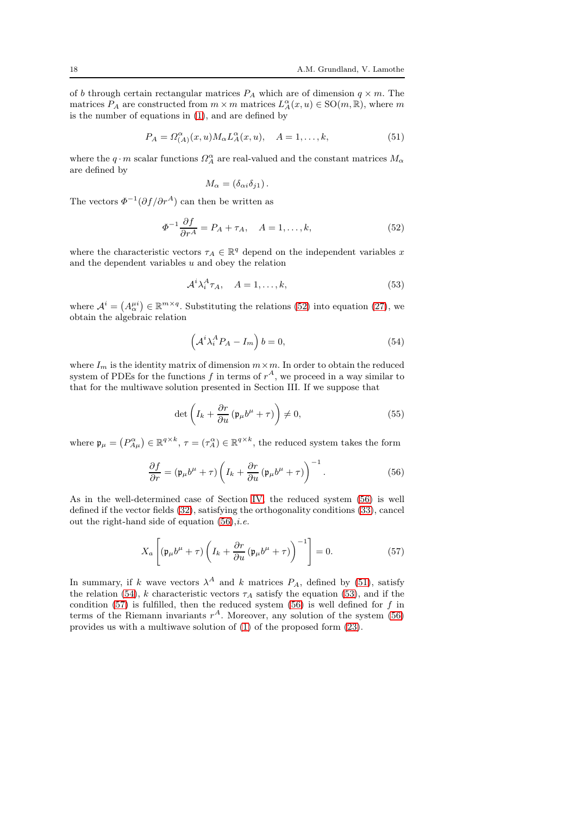of b through certain rectangular matrices  $P_A$  which are of dimension  $q \times m$ . The matrices  $P_A$  are constructed from  $m \times m$  matrices  $L_A^{\alpha}(x, u) \in SO(m, \mathbb{R})$ , where m is the number of equations in [\(1\)](#page-2-1), and are defined by

<span id="page-17-2"></span>
$$
P_A = \Omega_{(A)}^{\alpha}(x, u) M_{\alpha} L_A^{\alpha}(x, u), \quad A = 1, \dots, k,
$$
\n(51)

where the  $q\cdot m$  scalar functions  $\Omega_A^{\alpha}$  are real-valued and the constant matrices  $M_{\alpha}$ are defined by

$$
M_{\alpha} = (\delta_{\alpha i} \delta_{j1}).
$$

The vectors  $\Phi^{-1}(\partial f/\partial r^A)$  can then be written as

<span id="page-17-0"></span>
$$
\Phi^{-1}\frac{\partial f}{\partial r^A} = P_A + \tau_A, \quad A = 1, \dots, k,
$$
\n(52)

where the characteristic vectors  $\tau_A \in \mathbb{R}^q$  depend on the independent variables x and the dependent variables  $u$  and obey the relation

<span id="page-17-4"></span>
$$
\mathcal{A}^i \lambda_i^A \tau_A, \quad A = 1, \dots, k,\tag{53}
$$

where  $\mathcal{A}^i = (A^{\mu i}_{\alpha}) \in \mathbb{R}^{m \times q}$ . Substituting the relations [\(52\)](#page-17-0) into equation [\(27\)](#page-12-1), we obtain the algebraic relation

<span id="page-17-3"></span>
$$
\left(\mathcal{A}^i \lambda_i^A P_A - I_m\right) b = 0,\tag{54}
$$

where  $I_m$  is the identity matrix of dimension  $m \times m$ . In order to obtain the reduced system of PDEs for the functions  $f$  in terms of  $r^A$ , we proceed in a way similar to that for the multiwave solution presented in Section III. If we suppose that

$$
\det\left(I_k + \frac{\partial r}{\partial u}\left(\mathfrak{p}_\mu b^\mu + \tau\right)\right) \neq 0,\tag{55}
$$

where  $\mathfrak{p}_{\mu} = (P_{A\mu}^{\alpha}) \in \mathbb{R}^{q \times k}$ ,  $\tau = (\tau_A^{\alpha}) \in \mathbb{R}^{q \times k}$ , the reduced system takes the form

<span id="page-17-1"></span>
$$
\frac{\partial f}{\partial r} = (\mathfrak{p}_{\mu}b^{\mu} + \tau) \left(I_k + \frac{\partial r}{\partial u}(\mathfrak{p}_{\mu}b^{\mu} + \tau)\right)^{-1}.
$$
 (56)

As in the well-determined case of Section [IV,](#page-11-0) the reduced system [\(56\)](#page-17-1) is well defined if the vector fields [\(32\)](#page-13-0), satisfying the orthogonality conditions [\(33\)](#page-13-4), cancel out the right-hand side of equation  $(56)$ ,*i.e.* 

<span id="page-17-5"></span>
$$
X_a \left[ \left( \mathfrak{p}_{\mu} b^{\mu} + \tau \right) \left( I_k + \frac{\partial r}{\partial u} \left( \mathfrak{p}_{\mu} b^{\mu} + \tau \right) \right)^{-1} \right] = 0. \tag{57}
$$

In summary, if k wave vectors  $\lambda^A$  and k matrices  $P_A$ , defined by [\(51\)](#page-17-2), satisfy the relation [\(54\)](#page-17-3), k characteristic vectors  $\tau_A$  satisfy the equation [\(53\)](#page-17-4), and if the condition [\(57\)](#page-17-5) is fulfilled, then the reduced system [\(56\)](#page-17-1) is well defined for  $f$  in terms of the Riemann invariants  $r^A$ . Moreover, any solution of the system [\(56\)](#page-17-1) provides us with a multiwave solution of [\(1\)](#page-2-1) of the proposed form [\(23\)](#page-11-2).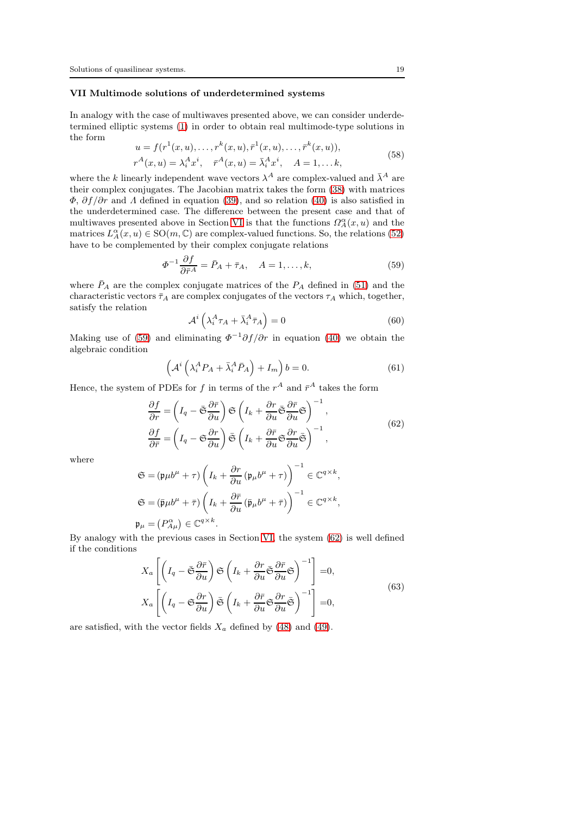## <span id="page-18-0"></span>VII Multimode solutions of underdetermined systems

In analogy with the case of multiwaves presented above, we can consider underdetermined elliptic systems [\(1\)](#page-2-1) in order to obtain real multimode-type solutions in the form

<span id="page-18-6"></span>
$$
u = f(r^{1}(x, u), \dots, r^{k}(x, u), \bar{r}^{1}(x, u), \dots, \bar{r}^{k}(x, u)),
$$
  
\n
$$
r^{A}(x, u) = \lambda_{i}^{A} x^{i}, \quad \bar{r}^{A}(x, u) = \bar{\lambda}_{i}^{A} x^{i}, \quad A = 1, \dots k,
$$
\n(58)

where the k linearly independent wave vectors  $\lambda^A$  are complex-valued and  $\bar{\lambda}^A$  are their complex conjugates. The Jacobian matrix takes the form [\(38\)](#page-15-0) with matrices  $\Phi$ ,  $\partial f/\partial r$  and  $\Lambda$  defined in equation [\(39\)](#page-15-3), and so relation [\(40\)](#page-15-2) is also satisfied in the underdetermined case. The difference between the present case and that of multiwaves presented above in Section [VI](#page-16-0) is that the functions  $\Omega_A^{\alpha}(x, u)$  and the matrices  $L_A^{\alpha}(x, u) \in SO(m, \mathbb{C})$  are complex-valued functions. So, the relations [\(52\)](#page-17-0) have to be complemented by their complex conjugate relations

<span id="page-18-1"></span>
$$
\Phi^{-1}\frac{\partial f}{\partial \bar{r}^A} = \bar{P}_A + \bar{\tau}_A, \quad A = 1, \dots, k,
$$
\n(59)

where  $\bar{P}_A$  are the complex conjugate matrices of the  $P_A$  defined in [\(51\)](#page-17-2) and the characteristic vectors  $\bar{\tau}_A$  are complex conjugates of the vectors  $\tau_A$  which, together, satisfy the relation

<span id="page-18-4"></span>
$$
\mathcal{A}^i \left( \lambda_i^A \tau_A + \bar{\lambda}_i^A \bar{\tau}_A \right) = 0 \tag{60}
$$

Making use of [\(59\)](#page-18-1) and eliminating  $\Phi^{-1}\partial f/\partial r$  in equation [\(40\)](#page-15-2) we obtain the algebraic condition

<span id="page-18-3"></span>
$$
\left(\mathcal{A}^{i}\left(\lambda_{i}^{A}P_{A}+\bar{\lambda}_{i}^{A}\bar{P}_{A}\right)+I_{m}\right)b=0.\tag{61}
$$

Hence, the system of PDEs for  $f$  in terms of the  $r^A$  and  $\bar{r}^A$  takes the form

<span id="page-18-2"></span>
$$
\frac{\partial f}{\partial r} = \left(I_q - \bar{\mathfrak{S}} \frac{\partial \bar{r}}{\partial u}\right) \mathfrak{S} \left(I_k + \frac{\partial r}{\partial u} \bar{\mathfrak{S}} \frac{\partial \bar{r}}{\partial u} \mathfrak{S}\right)^{-1},
$$
\n
$$
\frac{\partial f}{\partial \bar{r}} = \left(I_q - \bar{\mathfrak{S}} \frac{\partial r}{\partial u}\right) \bar{\mathfrak{S}} \left(I_k + \frac{\partial \bar{r}}{\partial u} \bar{\mathfrak{S}} \frac{\partial r}{\partial u} \bar{\mathfrak{S}}\right)^{-1},
$$
\n(62)

where

$$
\begin{split} \mathfrak{S} &= \left( \mathfrak{p} \mu b^{\mu} + \tau \right) \left( I_k + \frac{\partial r}{\partial u} \left( \mathfrak{p}_{\mu} b^{\mu} + \tau \right) \right)^{-1} \in \mathbb{C}^{q \times k}, \\ \mathfrak{S} &= \left( \bar{\mathfrak{p}} \mu b^{\mu} + \bar{\tau} \right) \left( I_k + \frac{\partial \bar{r}}{\partial u} \left( \bar{\mathfrak{p}}_{\mu} b^{\mu} + \bar{\tau} \right) \right)^{-1} \in \mathbb{C}^{q \times k}, \\ \mathfrak{p}_{\mu} &= \left( P_{A\mu}^{\alpha} \right) \in \mathbb{C}^{q \times k}. \end{split}
$$

By analogy with the previous cases in Section [VI,](#page-16-0) the system [\(62\)](#page-18-2) is well defined if the conditions

<span id="page-18-5"></span>
$$
X_{a} \left[ \left( I_{q} - \bar{\mathfrak{S}} \frac{\partial \bar{r}}{\partial u} \right) \mathfrak{S} \left( I_{k} + \frac{\partial r}{\partial u} \bar{\mathfrak{S}} \frac{\partial \bar{r}}{\partial u} \mathfrak{S} \right)^{-1} \right] = 0,
$$
  
\n
$$
X_{a} \left[ \left( I_{q} - \mathfrak{S} \frac{\partial r}{\partial u} \right) \bar{\mathfrak{S}} \left( I_{k} + \frac{\partial \bar{r}}{\partial u} \mathfrak{S} \frac{\partial r}{\partial u} \bar{\mathfrak{S}} \right)^{-1} \right] = 0,
$$
\n(63)

are satisfied, with the vector fields  $X_a$  defined by [\(48\)](#page-16-4) and [\(49\)](#page-16-5).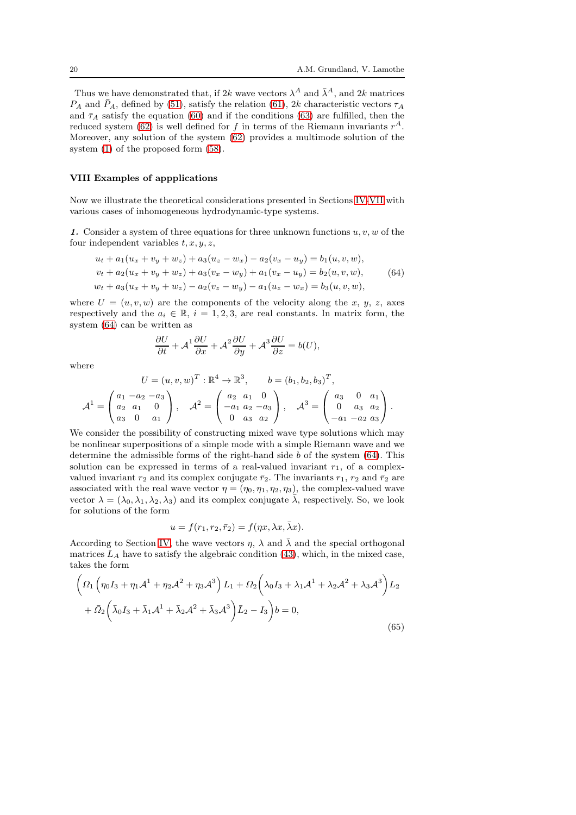Thus we have demonstrated that, if 2k wave vectors  $\lambda^A$  and  $\bar{\lambda}^A$ , and 2k matrices  $P_A$  and  $\bar{P}_A$ , defined by [\(51\)](#page-17-2), satisfy the relation [\(61\)](#page-18-3), 2k characteristic vectors  $\tau_A$ and  $\bar{\tau}_A$  satisfy the equation [\(60\)](#page-18-4) and if the conditions [\(63\)](#page-18-5) are fulfilled, then the reduced system [\(62\)](#page-18-2) is well defined for f in terms of the Riemann invariants  $r^A$ . Moreover, any solution of the system [\(62\)](#page-18-2) provides a multimode solution of the system [\(1\)](#page-2-1) of the proposed form [\(58\)](#page-18-6).

## <span id="page-19-0"></span>VIII Examples of appplications

Now we illustrate the theoretical considerations presented in Sections [IV](#page-11-0)[-VII](#page-18-0) with various cases of inhomogeneous hydrodynamic-type systems.

1. Consider a system of three equations for three unknown functions  $u, v, w$  of the four independent variables  $t, x, y, z$ ,

<span id="page-19-1"></span>
$$
u_t + a_1(u_x + v_y + w_z) + a_3(u_z - w_x) - a_2(v_x - u_y) = b_1(u, v, w),
$$
  
\n
$$
v_t + a_2(u_x + v_y + w_z) + a_3(v_x - w_y) + a_1(v_x - u_y) = b_2(u, v, w),
$$
  
\n
$$
w_t + a_3(u_x + v_y + w_z) - a_2(v_z - w_y) - a_1(u_z - w_x) = b_3(u, v, w),
$$
\n(64)

where  $U = (u, v, w)$  are the components of the velocity along the x, y, z, axes respectively and the  $a_i \in \mathbb{R}$ ,  $i = 1, 2, 3$ , are real constants. In matrix form, the system [\(64\)](#page-19-1) can be written as

$$
\frac{\partial U}{\partial t} + A^1 \frac{\partial U}{\partial x} + A^2 \frac{\partial U}{\partial y} + A^3 \frac{\partial U}{\partial z} = b(U),
$$

where

$$
U = (u, v, w)^{T} : \mathbb{R}^{4} \to \mathbb{R}^{3}, \qquad b = (b_{1}, b_{2}, b_{3})^{T},
$$

$$
A^{1} = \begin{pmatrix} a_{1} & -a_{2} & -a_{3} \ a_{2} & a_{1} & 0 \ a_{3} & 0 & a_{1} \end{pmatrix}, \quad A^{2} = \begin{pmatrix} a_{2} & a_{1} & 0 \ -a_{1} & a_{2} & -a_{3} \ 0 & a_{3} & a_{2} \end{pmatrix}, \quad A^{3} = \begin{pmatrix} a_{3} & 0 & a_{1} \ 0 & a_{3} & a_{2} \ -a_{1} & -a_{2} & a_{3} \end{pmatrix}.
$$

We consider the possibility of constructing mixed wave type solutions which may be nonlinear superpositions of a simple mode with a simple Riemann wave and we determine the admissible forms of the right-hand side b of the system [\(64\)](#page-19-1). This solution can be expressed in terms of a real-valued invariant  $r_1$ , of a complexvalued invariant  $r_2$  and its complex conjugate  $\bar{r}_2$ . The invariants  $r_1$ ,  $r_2$  and  $\bar{r}_2$  are associated with the real wave vector  $\eta = (\eta_0, \eta_1, \eta_2, \eta_3)$ , the complex-valued wave vector  $\lambda = (\lambda_0, \lambda_1, \lambda_2, \lambda_3)$  and its complex conjugate  $\overline{\lambda}$ , respectively. So, we look for solutions of the form

$$
u = f(r_1, r_2, \bar{r}_2) = f(\eta x, \lambda x, \bar{\lambda} x).
$$

According to Section [IV,](#page-11-0) the wave vectors  $\eta$ ,  $\lambda$  and  $\lambda$  and the special orthogonal matrices  $L_A$  have to satisfy the algebraic condition [\(43\)](#page-15-7), which, in the mixed case, takes the form

<span id="page-19-2"></span>
$$
\left(\Omega_{1}\left(\eta_{0}I_{3}+\eta_{1}\mathcal{A}^{1}+\eta_{2}\mathcal{A}^{2}+\eta_{3}\mathcal{A}^{3}\right)L_{1}+\Omega_{2}\left(\lambda_{0}I_{3}+\lambda_{1}\mathcal{A}^{1}+\lambda_{2}\mathcal{A}^{2}+\lambda_{3}\mathcal{A}^{3}\right)L_{2}\right.\n\left.\left.+\bar{\Omega}_{2}\left(\bar{\lambda}_{0}I_{3}+\bar{\lambda}_{1}\mathcal{A}^{1}+\bar{\lambda}_{2}\mathcal{A}^{2}+\bar{\lambda}_{3}\mathcal{A}^{3}\right)\bar{L}_{2}-I_{3}\right)\!b=0,\right.
$$
\n(65)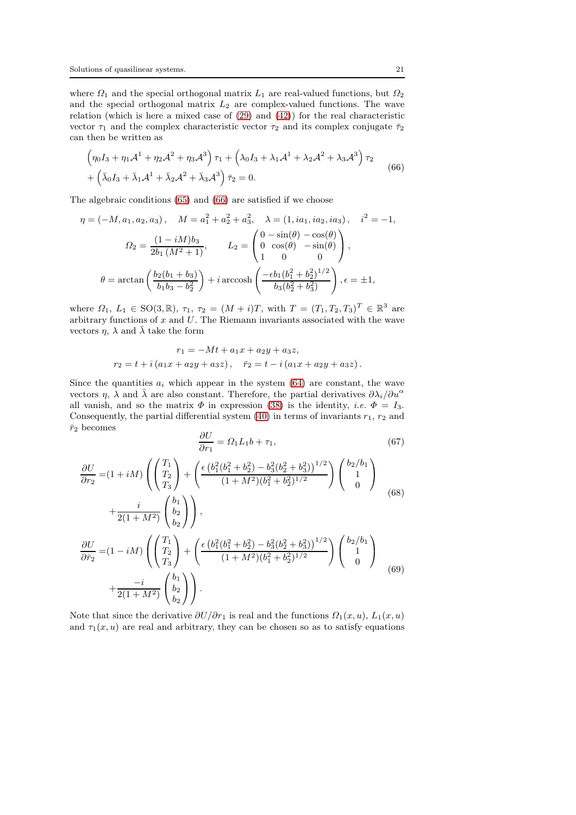where  $\Omega_1$  and the special orthogonal matrix  $L_1$  are real-valued functions, but  $\Omega_2$ and the special orthogonal matrix  $L_2$  are complex-valued functions. The wave relation (which is here a mixed case of [\(29\)](#page-12-5) and [\(42\)](#page-15-6)) for the real characteristic vector  $\tau_1$  and the complex characteristic vector  $\tau_2$  and its complex conjugate  $\bar{\tau}_2$ can then be written as

<span id="page-20-0"></span>
$$
\left(\eta_0 I_3 + \eta_1 \mathcal{A}^1 + \eta_2 \mathcal{A}^2 + \eta_3 \mathcal{A}^3\right) \tau_1 + \left(\lambda_0 I_3 + \lambda_1 \mathcal{A}^1 + \lambda_2 \mathcal{A}^2 + \lambda_3 \mathcal{A}^3\right) \tau_2
$$
  
+ 
$$
\left(\bar{\lambda}_0 I_3 + \bar{\lambda}_1 \mathcal{A}^1 + \bar{\lambda}_2 \mathcal{A}^2 + \bar{\lambda}_3 \mathcal{A}^3\right) \bar{\tau}_2 = 0.
$$
 (66)

The algebraic conditions [\(65\)](#page-19-2) and [\(66\)](#page-20-0) are satisfied if we choose

$$
\eta = (-M, a_1, a_2, a_3), \quad M = a_1^2 + a_2^2 + a_3^2, \quad \lambda = (1, ia_1, ia_2, ia_3), \quad i^2 = -1,
$$
  

$$
\Omega_2 = \frac{(1 - iM)b_3}{2b_1 (M^2 + 1)}, \qquad L_2 = \begin{pmatrix} 0 - \sin(\theta) - \cos(\theta) \\ 0 \cos(\theta) - \sin(\theta) \\ 1 \ 0 \end{pmatrix},
$$
  

$$
\theta = \arctan\left(\frac{b_2(b_1 + b_3)}{b_1b_3 - b_2^2}\right) + i \arccosh\left(\frac{-\epsilon b_1(b_1^2 + b_2^2)^{1/2}}{b_3(b_2^2 + b_3^2)}\right), \epsilon = \pm 1,
$$

where  $\Omega_1, L_1 \in SO(3, \mathbb{R}), \tau_1, \tau_2 = (M + i)T$ , with  $T = (T_1, T_2, T_3)^T \in \mathbb{R}^3$  are arbitrary functions of  $x$  and  $U$ . The Riemann invariants associated with the wave vectors  $\eta$ ,  $\lambda$  and  $\bar{\lambda}$  take the form

$$
r_1 = -Mt + a_1x + a_2y + a_3z,
$$
  
\n
$$
r_2 = t + i(a_1x + a_2y + a_3z), \quad \bar{r}_2 = t - i(a_1x + a_2y + a_3z).
$$

Since the quantities  $a_i$  which appear in the system [\(64\)](#page-19-1) are constant, the wave vectors  $\eta$ ,  $\lambda$  and  $\bar{\lambda}$  are also constant. Therefore, the partial derivatives  $\partial \lambda_i/\partial u^{\alpha}$ all vanish, and so the matrix  $\Phi$  in expression [\(38\)](#page-15-0) is the identity, *i.e.*  $\Phi = I_3$ . Consequently, the partial differential system  $(40)$  in terms of invariants  $r_1$ ,  $r_2$  and  $\bar{r}_2$  becomes

<span id="page-20-1"></span>
$$
\frac{\partial U}{\partial r_1} = \Omega_1 L_1 b + \tau_1,\tag{67}
$$

$$
\frac{\partial U}{\partial r_2} = (1 + iM) \left( \begin{pmatrix} T_1 \\ T_2 \\ T_3 \end{pmatrix} + \left( \frac{\epsilon \left( b_1^2 (b_1^2 + b_2^2) - b_3^2 (b_2^2 + b_3^2) \right)^{1/2}}{(1 + M^2)(b_1^2 + b_2^2)^{1/2}} \right) \begin{pmatrix} b_2/b_1 \\ 1 \\ 0 \end{pmatrix} + \frac{i}{2(1 + M^2)} \begin{pmatrix} b_1 \\ b_2 \end{pmatrix} \right),
$$
\n(68)

<span id="page-20-2"></span>
$$
+\frac{1}{2(1+M^2)} \begin{pmatrix} b_2 \\ b_2 \end{pmatrix},
$$
  
\n
$$
\frac{\partial U}{\partial \bar{r}_2} = (1 - iM) \left( \begin{pmatrix} T_1 \\ T_2 \\ T_3 \end{pmatrix} + \left( \frac{\epsilon \left( b_1^2 (b_1^2 + b_2^2) - b_3^2 (b_2^2 + b_3^2) \right)^{1/2}}{(1+M^2)(b_1^2 + b_2^2)^{1/2}} \right) \begin{pmatrix} b_2/b_1 \\ 1 \\ 0 \end{pmatrix}
$$
  
\n
$$
+\frac{-i}{2(1+M^2)} \begin{pmatrix} b_1 \\ b_2 \\ b_3 \end{pmatrix}.
$$
 (69)

<span id="page-20-3"></span>Note that since the derivative  $\partial U/\partial r_1$  is real and the functions  $\Omega_1(x, u)$ ,  $L_1(x, u)$ and  $\tau_1(x, u)$  are real and arbitrary, they can be chosen so as to satisfy equations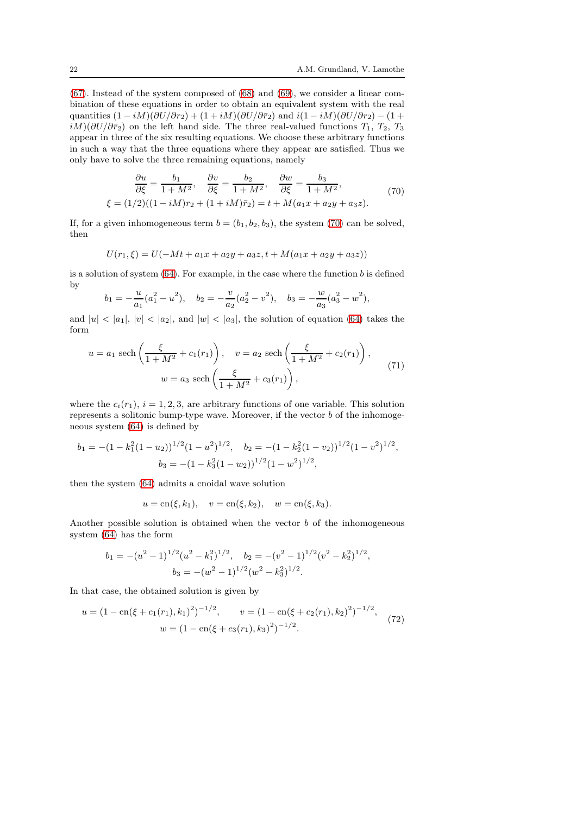[\(67\)](#page-20-1). Instead of the system composed of [\(68\)](#page-20-2) and [\(69\)](#page-20-3), we consider a linear combination of these equations in order to obtain an equivalent system with the real quantities  $(1 - iM)(\partial U/\partial r_2) + (1 + iM)(\partial U/\partial \bar{r}_2)$  and  $i(1 - iM)(\partial U/\partial r_2) - (1 + iM)(\partial U/\partial \bar{r}_2)$  $iM)(\partial U/\partial \bar{r}_2)$  on the left hand side. The three real-valued functions  $T_1$ ,  $T_2$ ,  $T_3$ appear in three of the six resulting equations. We choose these arbitrary functions in such a way that the three equations where they appear are satisfied. Thus we only have to solve the three remaining equations, namely

<span id="page-21-0"></span>
$$
\frac{\partial u}{\partial \xi} = \frac{b_1}{1 + M^2}, \quad \frac{\partial v}{\partial \xi} = \frac{b_2}{1 + M^2}, \quad \frac{\partial w}{\partial \xi} = \frac{b_3}{1 + M^2}, \xi = (1/2)((1 - iM)r_2 + (1 + iM)\bar{r}_2) = t + M(a_1x + a_2y + a_3z).
$$
\n(70)

If, for a given inhomogeneous term  $b = (b_1, b_2, b_3)$ , the system [\(70\)](#page-21-0) can be solved, then

$$
U(r_1,\xi) = U(-Mt + a_1x + a_2y + a_3z, t + M(a_1x + a_2y + a_3z))
$$

is a solution of system  $(64)$ . For example, in the case where the function b is defined by

$$
b_1 = -\frac{u}{a_1}(a_1^2 - u^2), \quad b_2 = -\frac{v}{a_2}(a_2^2 - v^2), \quad b_3 = -\frac{w}{a_3}(a_3^2 - w^2),
$$

and  $|u| < |a_1|, |v| < |a_2|$ , and  $|w| < |a_3|$ , the solution of equation [\(64\)](#page-19-1) takes the form

<span id="page-21-2"></span>
$$
u = a_1 \text{ sech}\left(\frac{\xi}{1+M^2} + c_1(r_1)\right), \quad v = a_2 \text{ sech}\left(\frac{\xi}{1+M^2} + c_2(r_1)\right),
$$
  

$$
w = a_3 \text{ sech}\left(\frac{\xi}{1+M^2} + c_3(r_1)\right),
$$
 (71)

where the  $c_i(r_1)$ ,  $i = 1, 2, 3$ , are arbitrary functions of one variable. This solution represents a solitonic bump-type wave. Moreover, if the vector b of the inhomogeneous system [\(64\)](#page-19-1) is defined by

$$
b_1 = -(1 - k_1^2 (1 - u_2))^{1/2} (1 - u^2)^{1/2}, \quad b_2 = -(1 - k_2^2 (1 - v_2))^{1/2} (1 - v^2)^{1/2},
$$
  

$$
b_3 = -(1 - k_3^2 (1 - w_2))^{1/2} (1 - w^2)^{1/2},
$$

then the system [\(64\)](#page-19-1) admits a cnoidal wave solution

$$
u = \text{cn}(\xi, k_1), \quad v = \text{cn}(\xi, k_2), \quad w = \text{cn}(\xi, k_3).
$$

Another possible solution is obtained when the vector  $b$  of the inhomogeneous system [\(64\)](#page-19-1) has the form

$$
b_1 = -(u^2 - 1)^{1/2} (u^2 - k_1^2)^{1/2}, \quad b_2 = -(v^2 - 1)^{1/2} (v^2 - k_2^2)^{1/2},
$$

$$
b_3 = -(w^2 - 1)^{1/2} (w^2 - k_3^2)^{1/2}.
$$

In that case, the obtained solution is given by

<span id="page-21-1"></span>
$$
u = (1 - \operatorname{cn}(\xi + c_1(r_1), k_1)^2)^{-1/2}, \qquad v = (1 - \operatorname{cn}(\xi + c_2(r_1), k_2)^2)^{-1/2},
$$
  

$$
w = (1 - \operatorname{cn}(\xi + c_3(r_1), k_3)^2)^{-1/2}.
$$
 (72)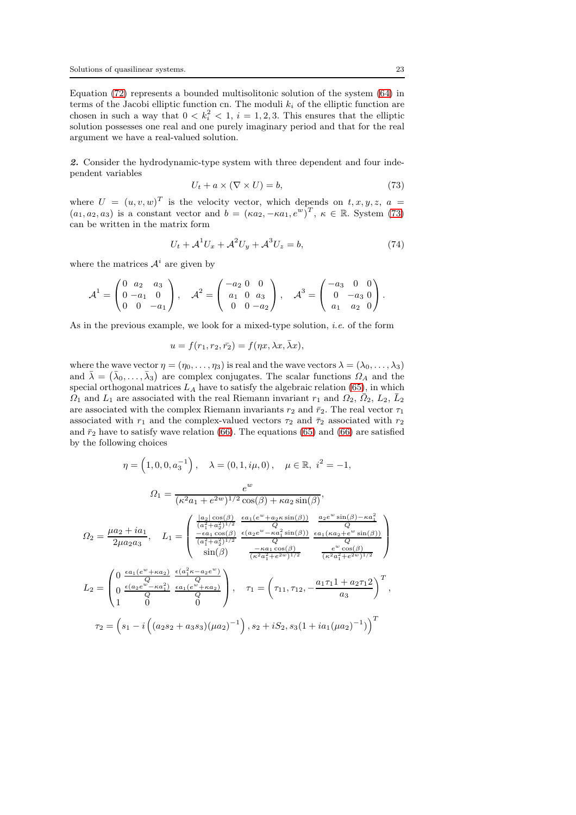Equation [\(72\)](#page-21-1) represents a bounded multisolitonic solution of the system [\(64\)](#page-19-1) in terms of the Jacobi elliptic function cn. The moduli  $k_i$  of the elliptic function are chosen in such a way that  $0 < k_i^2 < 1$ ,  $i = 1, 2, 3$ . This ensures that the elliptic solution possesses one real and one purely imaginary period and that for the real argument we have a real-valued solution.

2. Consider the hydrodynamic-type system with three dependent and four independent variables

<span id="page-22-0"></span>
$$
U_t + a \times (\nabla \times U) = b,\tag{73}
$$

where  $U = (u, v, w)^T$  is the velocity vector, which depends on  $t, x, y, z, a =$  $(a_1, a_2, a_3)$  is a constant vector and  $b = (\kappa a_2, -\kappa a_1, e^w)^T$ ,  $\kappa \in \mathbb{R}$ . System [\(73\)](#page-22-0) can be written in the matrix form

$$
U_t + \mathcal{A}^1 U_x + \mathcal{A}^2 U_y + \mathcal{A}^3 U_z = b,\tag{74}
$$

where the matrices  $A^i$  are given by

$$
\mathcal{A}^1 = \begin{pmatrix} 0 & a_2 & a_3 \\ 0 & -a_1 & 0 \\ 0 & 0 & -a_1 \end{pmatrix}, \quad \mathcal{A}^2 = \begin{pmatrix} -a_2 & 0 & 0 \\ a_1 & 0 & a_3 \\ 0 & 0 & -a_2 \end{pmatrix}, \quad \mathcal{A}^3 = \begin{pmatrix} -a_3 & 0 & 0 \\ 0 & -a_3 & 0 \\ a_1 & a_2 & 0 \end{pmatrix}.
$$

As in the previous example, we look for a mixed-type solution, i.e. of the form

$$
u = f(r_1, r_2, \bar{r_2}) = f(\eta x, \lambda x, \bar{\lambda} x),
$$

where the wave vector  $\eta = (\eta_0, \ldots, \eta_3)$  is real and the wave vectors  $\lambda = (\lambda_0, \ldots, \lambda_3)$ and  $\bar{\lambda} = (\bar{\lambda}_0, \ldots, \bar{\lambda}_3)$  are complex conjugates. The scalar functions  $\Omega_A$  and the special orthogonal matrices  $L_A$  have to satisfy the algebraic relation [\(65\)](#page-19-2), in which  $\Omega_1$  and  $L_1$  are associated with the real Riemann invariant  $r_1$  and  $\Omega_2$ ,  $\overline{\Omega}_2$ ,  $\overline{L}_2$ ,  $\overline{L}_2$ are associated with the complex Riemann invariants  $r_2$  and  $\bar{r}_2$ . The real vector  $\tau_1$ associated with  $r_1$  and the complex-valued vectors  $\tau_2$  and  $\bar{\tau}_2$  associated with  $r_2$ and  $\bar{r}_2$  have to satisfy wave relation [\(66\)](#page-20-0). The equations [\(65\)](#page-19-2) and (66) are satisfied by the following choices

$$
\eta = \left(1, 0, 0, a_3^{-1}\right), \quad \lambda = (0, 1, i\mu, 0), \quad \mu \in \mathbb{R}, i^2 = -1,
$$
\n
$$
\Omega_1 = \frac{e^w}{(\kappa^2 a_1 + e^{2w})^{1/2} \cos(\beta) + \kappa a_2 \sin(\beta)},
$$
\n
$$
\Omega_2 = \frac{\mu a_2 + ia_1}{2\mu a_2 a_3}, \quad L_1 = \begin{pmatrix} \frac{|a_2|\cos(\beta)}{(a_1^2 + a_2^2)^{1/2}} & \frac{\epsilon a_1(e^w + a_2\kappa \sin(\beta))}{Q} & \frac{a_2 e^w \sin(\beta) - \kappa a_1^2}{Q} \\ \frac{-(a_1 + a_2^2)^{1/2}}{(a_1^2 + a_2^2)^{1/2}} & \frac{-(a_2e^w - \kappa a_1^2 \sin(\beta))}{Q} & \frac{\epsilon a_1(\kappa a_2 + e^w \sin(\beta))}{\kappa^2 a_1^2 + e^{2w})^{1/2}} \end{pmatrix}
$$
\n
$$
L_2 = \begin{pmatrix} 0 & \frac{\epsilon a_1(e^w + \kappa a_2)}{Q} & \frac{\epsilon (a_1^2 \kappa - a_2 e^w)}{Q} \\ 0 & \frac{\epsilon (a_2 e^w - \kappa a_1^2)}{Q} & \frac{\epsilon a_1(e^w + \kappa a_2)}{Q} \\ 1 & 0 & 0 \end{pmatrix}, \quad \tau_1 = \left(\tau_{11}, \tau_{12}, -\frac{a_1 \tau_{11} + a_2 \tau_{12}}{a_3}\right)^T,
$$
\n
$$
\tau_2 = \left(s_1 - i \left( (a_2 s_2 + a_3 s_3)(\mu a_2)^{-1} \right), s_2 + i S_2, s_3 (1 + i a_1(\mu a_2)^{-1}) \right)^T
$$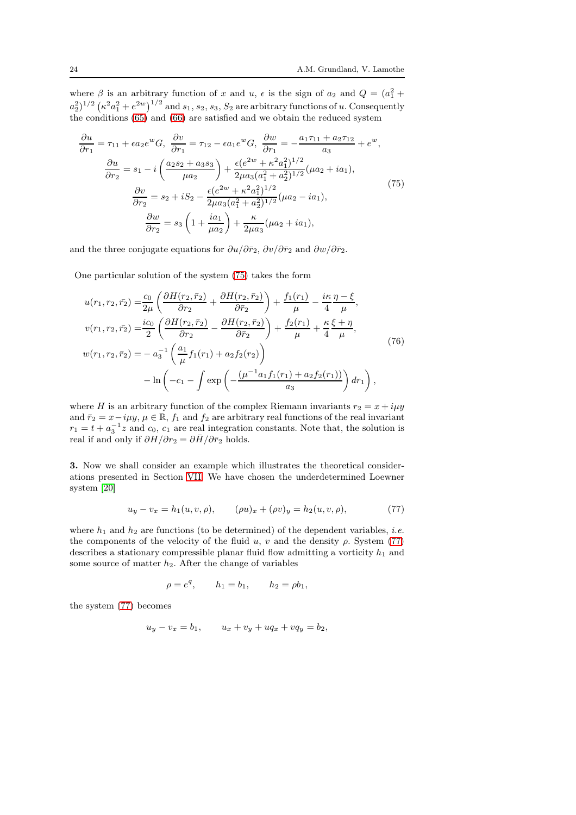where  $\beta$  is an arbitrary function of x and u,  $\epsilon$  is the sign of  $a_2$  and  $Q = (a_1^2 + a_2^2)$  $(a_2^2)^{1/2}$   $(\kappa^2 a_1^2 + e^{2w})^{1/2}$  and  $s_1, s_2, s_3, S_2$  are arbitrary functions of u. Consequently the conditions  $(65)$  and  $(66)$  are satisfied and we obtain the reduced system

<span id="page-23-0"></span>
$$
\frac{\partial u}{\partial r_1} = \tau_{11} + \epsilon a_2 e^w G, \quad \frac{\partial v}{\partial r_1} = \tau_{12} - \epsilon a_1 e^w G, \quad \frac{\partial w}{\partial r_1} = -\frac{a_1 \tau_{11} + a_2 \tau_{12}}{a_3} + e^w,
$$
\n
$$
\frac{\partial u}{\partial r_2} = s_1 - i \left( \frac{a_2 s_2 + a_3 s_3}{\mu a_2} \right) + \frac{\epsilon (e^{2w} + \kappa^2 a_1^2)^{1/2}}{2\mu a_3 (a_1^2 + a_2^2)^{1/2}} (\mu a_2 + i a_1),
$$
\n
$$
\frac{\partial v}{\partial r_2} = s_2 + i S_2 - \frac{\epsilon (e^{2w} + \kappa^2 a_1^2)^{1/2}}{2\mu a_3 (a_1^2 + a_2^2)^{1/2}} (\mu a_2 - i a_1),
$$
\n
$$
\frac{\partial w}{\partial r_2} = s_3 \left( 1 + \frac{i a_1}{\mu a_2} \right) + \frac{\kappa}{2\mu a_3} (\mu a_2 + i a_1),
$$
\n(75)

and the three conjugate equations for  $\partial u/\partial \bar{r}_2$ ,  $\partial v/\partial \bar{r}_2$  and  $\partial w/\partial \bar{r}_2$ .

One particular solution of the system [\(75\)](#page-23-0) takes the form

<span id="page-23-2"></span>
$$
u(r_1, r_2, \bar{r_2}) = \frac{c_0}{2\mu} \left( \frac{\partial H(r_2, \bar{r}_2)}{\partial r_2} + \frac{\partial H(r_2, \bar{r}_2)}{\partial \bar{r}_2} \right) + \frac{f_1(r_1)}{\mu} - \frac{i\kappa}{4} \frac{\eta - \xi}{\mu},
$$
  

$$
v(r_1, r_2, \bar{r_2}) = \frac{ic_0}{2} \left( \frac{\partial H(r_2, \bar{r}_2)}{\partial r_2} - \frac{\partial H(r_2, \bar{r}_2)}{\partial \bar{r}_2} \right) + \frac{f_2(r_1)}{\mu} + \frac{\kappa}{4} \frac{\xi + \eta}{\mu},
$$
  

$$
w(r_1, r_2, \bar{r_2}) = -a_3^{-1} \left( \frac{a_1}{\mu} f_1(r_1) + a_2 f_2(r_2) \right)
$$
  

$$
- \ln \left( -c_1 - \int \exp \left( -\frac{(\mu^{-1} a_1 f_1(r_1) + a_2 f_2(r_1))}{a_3} \right) dr_1 \right),
$$
 (76)

where H is an arbitrary function of the complex Riemann invariants  $r_2 = x + i\mu y$ and  $\bar{r}_2 = x - i\mu y$ ,  $\mu \in \mathbb{R}$ ,  $f_1$  and  $f_2$  are arbitrary real functions of the real invariant  $r_1 = t + a_3^{-1}z$  and  $c_0$ ,  $c_1$  are real integration constants. Note that, the solution is real if and only if  $\partial H/\partial r_2 = \partial \bar{H}/\partial \bar{r}_2$  holds.

3. Now we shall consider an example which illustrates the theoretical considerations presented in Section [VII.](#page-18-0) We have chosen the underdetermined Loewner system [\[20\]](#page-28-16)

<span id="page-23-1"></span>
$$
u_y - v_x = h_1(u, v, \rho), \qquad (\rho u)_x + (\rho v)_y = h_2(u, v, \rho), \tag{77}
$$

where  $h_1$  and  $h_2$  are functions (to be determined) of the dependent variables, *i.e.* the components of the velocity of the fluid  $u, v$  and the density  $\rho$ . System [\(77\)](#page-23-1) describes a stationary compressible planar fluid flow admitting a vorticity  $h_1$  and some source of matter  $h_2$ . After the change of variables

$$
\rho = e^q
$$
,  $h_1 = b_1$ ,  $h_2 = \rho b_1$ ,

the system [\(77\)](#page-23-1) becomes

$$
u_y - v_x = b_1, \qquad u_x + v_y + uq_x + vq_y = b_2,
$$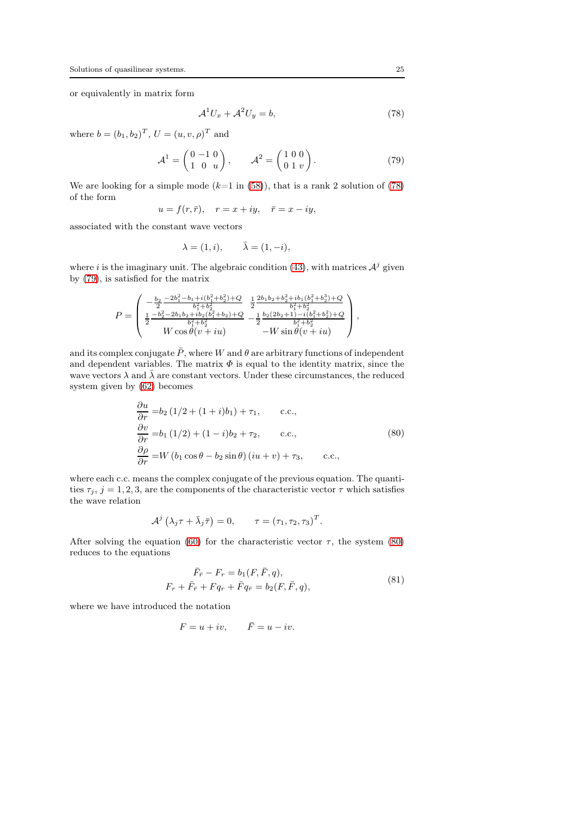or equivalently in matrix form

<span id="page-24-0"></span>
$$
\mathcal{A}^1 U_x + \mathcal{A}^2 U_y = b,\tag{78}
$$

where  $b = (b_1, b_2)^T$ ,  $U = (u, v, \rho)^T$  and

<span id="page-24-1"></span>
$$
\mathcal{A}^1 = \begin{pmatrix} 0 & -1 & 0 \\ 1 & 0 & u \end{pmatrix}, \qquad \mathcal{A}^2 = \begin{pmatrix} 1 & 0 & 0 \\ 0 & 1 & v \end{pmatrix}.
$$
 (79)

We are looking for a simple mode  $(k=1 \text{ in } (58))$  $(k=1 \text{ in } (58))$  $(k=1 \text{ in } (58))$ , that is a rank 2 solution of [\(78\)](#page-24-0) of the form

$$
u = f(r, \bar{r}), \quad r = x + iy, \quad \bar{r} = x - iy,
$$

associated with the constant wave vectors

$$
\lambda = (1, i), \qquad \bar{\lambda} = (1, -i),
$$

where *i* is the imaginary unit. The algebraic condition [\(43\)](#page-15-7), with matrices  $\mathcal{A}^j$  given by [\(79\)](#page-24-1), is satisfied for the matrix

$$
P = \begin{pmatrix} -\frac{b_2}{2} \frac{-2b_1^2 - b_1 + i(b_1^2 + b_2^2) + Q}{b_1^2 + b_2^2} & \frac{1}{2} \frac{2b_1b_2 + b_2^2 + ib_1(b_1^2 + b_2^3) + Q}{b_1^2 + b_2^2} \\ \frac{1}{2} \frac{-b_2^2 - 2b_1b_2 + ib_2(b_1^2 + b_2) + Q}{b_1^2 + b_2^2} & -\frac{1}{2} \frac{b_2(2b_2 + 1) - i(b_1^2 + b_2^2) + Q}{b_1^2 + b_2^2} \\ W \cos \theta (v + iu) & -W \sin \theta (v + iu) \end{pmatrix},
$$

and its complex conjugate  $\bar{P}$ , where W and  $\theta$  are arbitrary functions of independent and dependent variables. The matrix  $\Phi$  is equal to the identity matrix, since the wave vectors  $\lambda$  and  $\bar{\lambda}$  are constant vectors. Under these circumstances, the reduced system given by [\(62\)](#page-18-2) becomes

<span id="page-24-2"></span>
$$
\frac{\partial u}{\partial r} = b_2 (1/2 + (1+i)b_1) + \tau_1, \qquad c.c.,
$$
  
\n
$$
\frac{\partial v}{\partial r} = b_1 (1/2) + (1-i)b_2 + \tau_2, \qquad c.c.,
$$
  
\n
$$
\frac{\partial \rho}{\partial r} = W (b_1 \cos \theta - b_2 \sin \theta) (iu + v) + \tau_3, \qquad c.c.,
$$
  
\n(80)

where each c.c. means the complex conjugate of the previous equation. The quantities  $\tau_j$ ,  $j = 1, 2, 3$ , are the components of the characteristic vector  $\tau$  which satisfies the wave relation

$$
\mathcal{A}^j\left(\lambda_j\tau+\bar{\lambda}_j\bar{\tau}\right)=0, \qquad \tau=\left(\tau_1,\tau_2,\tau_3\right)^T.
$$

After solving the equation [\(60\)](#page-18-4) for the characteristic vector  $\tau$ , the system [\(80\)](#page-24-2) reduces to the equations

<span id="page-24-3"></span>
$$
\bar{F}_{\bar{r}} - F_r = b_1(F, \bar{F}, q), \nF_r + \bar{F}_{\bar{r}} + Fq_r + \bar{F}q_{\bar{r}} = b_2(F, \bar{F}, q),
$$
\n(81)

where we have introduced the notation

$$
F = u + iv, \qquad \bar{F} = u - iv.
$$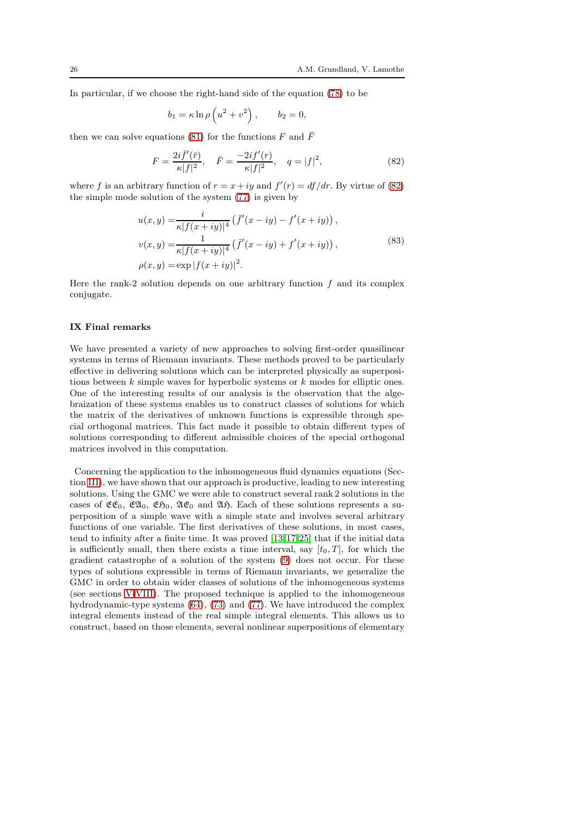In particular, if we choose the right-hand side of the equation [\(78\)](#page-24-0) to be

$$
b_1 = \kappa \ln \rho \left( u^2 + v^2 \right), \qquad b_2 = 0,
$$

then we can solve equations [\(81\)](#page-24-3) for the functions  $F$  and  $\bar{F}$ 

<span id="page-25-1"></span>
$$
F = \frac{2i\bar{f}'(\bar{r})}{\kappa|f|^2}, \quad \bar{F} = \frac{-2if'(r)}{\kappa|f|^2}, \quad q = |f|^2,
$$
\n(82)

where f is an arbitrary function of  $r = x + iy$  and  $f'(r) = df/dr$ . By virtue of [\(82\)](#page-25-1) the simple mode solution of the system [\(77\)](#page-23-1) is given by

<span id="page-25-2"></span>
$$
u(x,y) = \frac{i}{\kappa |f(x+iy)|^4} \left( \bar{f}'(x-iy) - f'(x+iy) \right),
$$
  
\n
$$
v(x,y) = \frac{1}{\kappa |f(x+iy)|^4} \left( \bar{f}'(x-iy) + f'(x+iy) \right),
$$
  
\n
$$
\rho(x,y) = \exp |f(x+iy)|^2.
$$
\n(83)

Here the rank-2 solution depends on one arbitrary function  $f$  and its complex conjugate.

#### <span id="page-25-0"></span>IX Final remarks

We have presented a variety of new approaches to solving first-order quasilinear systems in terms of Riemann invariants. These methods proved to be particularly effective in delivering solutions which can be interpreted physically as superpositions between  $k$  simple waves for hyperbolic systems or  $k$  modes for elliptic ones. One of the interesting results of our analysis is the observation that the algebraization of these systems enables us to construct classes of solutions for which the matrix of the derivatives of unknown functions is expressible through special orthogonal matrices. This fact made it possible to obtain different types of solutions corresponding to different admissible choices of the special orthogonal matrices involved in this computation.

Concerning the application to the inhomogeneous fluid dynamics equations (Section [III\)](#page-5-0), we have shown that our approach is productive, leading to new interesting solutions. Using the GMC we were able to construct several rank 2 solutions in the cases of  $\mathfrak{CE}_0$ ,  $\mathfrak{EL}_0$ ,  $\mathfrak{LE}_0$ ,  $\mathfrak{LE}_0$  and  $\mathfrak{Alg}$ . Each of these solutions represents a superposition of a simple wave with a simple state and involves several arbitrary functions of one variable. The first derivatives of these solutions, in most cases, tend to infinity after a finite time. It was proved [\[13,](#page-28-15) [17,](#page-28-3) [25\]](#page-28-2) that if the initial data is sufficiently small, then there exists a time interval, say  $[t_0, T]$ , for which the gradient catastrophe of a solution of the system [\(9\)](#page-5-1) does not occur. For these types of solutions expressible in terms of Riemann invariants, we generalize the GMC in order to obtain wider classes of solutions of the inhomogeneous systems (see sections [V](#page-14-0)[-VIII\)](#page-19-0). The proposed technique is applied to the inhomogeneous hydrodynamic-type systems [\(64\)](#page-19-1), [\(73\)](#page-22-0) and [\(77\)](#page-23-1). We have introduced the complex integral elements instead of the real simple integral elements. This allows us to construct, based on those elements, several nonlinear superpositions of elementary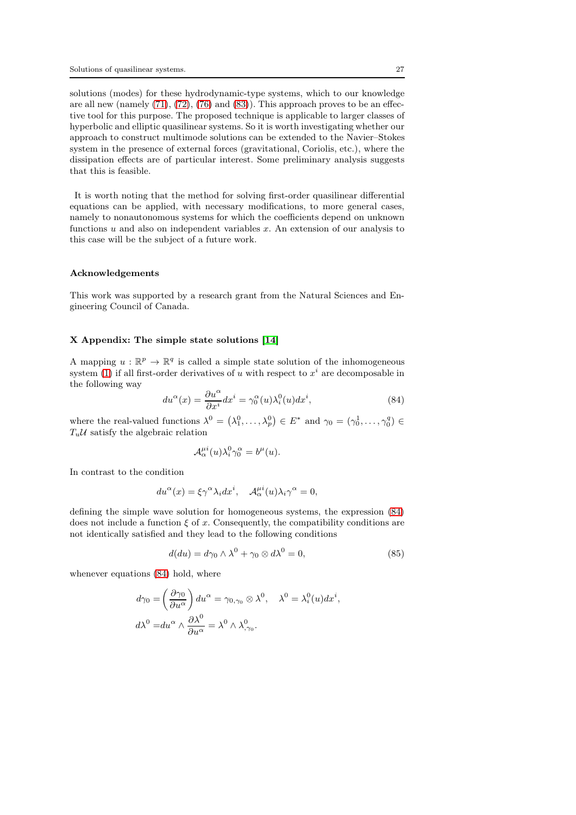solutions (modes) for these hydrodynamic-type systems, which to our knowledge are all new (namely [\(71\)](#page-21-2), [\(72\)](#page-21-1), [\(76\)](#page-23-2) and [\(83\)](#page-25-2)). This approach proves to be an effective tool for this purpose. The proposed technique is applicable to larger classes of hyperbolic and elliptic quasilinear systems. So it is worth investigating whether our approach to construct multimode solutions can be extended to the Navier–Stokes system in the presence of external forces (gravitational, Coriolis, etc.), where the dissipation effects are of particular interest. Some preliminary analysis suggests that this is feasible.

It is worth noting that the method for solving first-order quasilinear differential equations can be applied, with necessary modifications, to more general cases, namely to nonautonomous systems for which the coefficients depend on unknown functions  $u$  and also on independent variables  $x$ . An extension of our analysis to this case will be the subject of a future work.

#### Acknowledgements

This work was supported by a research grant from the Natural Sciences and Engineering Council of Canada.

## X Appendix: The simple state solutions [\[14\]](#page-28-9)

A mapping  $u : \mathbb{R}^p \to \mathbb{R}^q$  is called a simple state solution of the inhomogeneous system [\(1\)](#page-2-1) if all first-order derivatives of u with respect to  $x^i$  are decomposable in the following way

<span id="page-26-0"></span>
$$
du^{\alpha}(x) = \frac{\partial u^{\alpha}}{\partial x^{i}} dx^{i} = \gamma_{0}^{\alpha}(u)\lambda_{i}^{0}(u)dx^{i}, \qquad (84)
$$

where the real-valued functions  $\lambda^0 = (\lambda_1^0, \ldots, \lambda_p^0) \in E^*$  and  $\gamma_0 = (\gamma_0^1, \ldots, \gamma_0^q) \in$  $T_u \mathcal{U}$  satisfy the algebraic relation

$$
\mathcal{A}_{\alpha}^{\mu i}(u)\lambda_i^0\gamma_0^{\alpha}=b^{\mu}(u).
$$

In contrast to the condition

$$
du^{\alpha}(x) = \xi \gamma^{\alpha} \lambda_i dx^i, \quad \mathcal{A}_{\alpha}^{\mu i}(u) \lambda_i \gamma^{\alpha} = 0,
$$

defining the simple wave solution for homogeneous systems, the expression [\(84\)](#page-26-0) does not include a function  $\xi$  of x. Consequently, the compatibility conditions are not identically satisfied and they lead to the following conditions

$$
d(du) = d\gamma_0 \wedge \lambda^0 + \gamma_0 \otimes d\lambda^0 = 0, \qquad (85)
$$

,

whenever equations  $(84)$  hold, where

$$
d\gamma_0 = \left(\frac{\partial \gamma_0}{\partial u^{\alpha}}\right) du^{\alpha} = \gamma_{0,\gamma_0} \otimes \lambda^0, \quad \lambda^0 = \lambda_i^0(u) dx^i
$$

$$
d\lambda^0 = du^{\alpha} \wedge \frac{\partial \lambda^0}{\partial u^{\alpha}} = \lambda^0 \wedge \lambda_{,\gamma_0}^0.
$$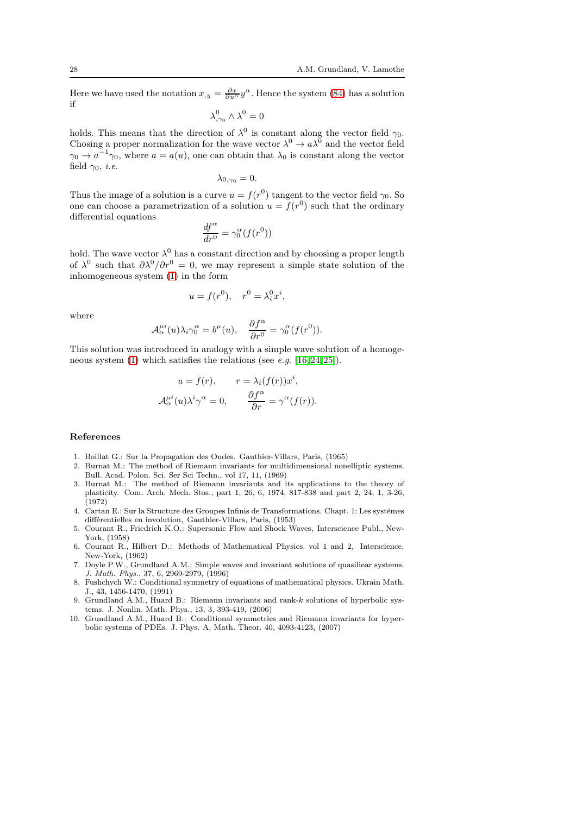Here we have used the notation  $x_{,y} = \frac{\partial x}{\partial u^{\alpha}} y^{\alpha}$ . Hence the system [\(84\)](#page-26-0) has a solution if

$$
\lambda_{,\gamma_0}^0 \wedge \lambda^0 = 0
$$

holds. This means that the direction of  $\lambda^0$  is constant along the vector field  $\gamma_0$ . Chosing a proper normalization for the wave vector  $\lambda^0 \to a\lambda^0$  and the vector field  $\gamma_0 \rightarrow a^{-1} \gamma_0$ , where  $a = a(u)$ , one can obtain that  $\lambda_0$  is constant along the vector field  $\gamma_0$ , *i.e.* 

$$
\lambda_{0,\gamma_0}=0.
$$

Thus the image of a solution is a curve  $u = f(r^0)$  tangent to the vector field  $\gamma_0$ . So one can choose a parametrization of a solution  $u = f(r^0)$  such that the ordinary differential equations

$$
\frac{df^{\alpha}}{dr^0} = \gamma_0^{\alpha}(f(r^0))
$$

hold. The wave vector  $\lambda^0$  has a constant direction and by choosing a proper length of  $\lambda^0$  such that  $\partial \lambda^0/\partial r^0 = 0$ , we may represent a simple state solution of the inhomogeneous system [\(1\)](#page-2-1) in the form

$$
u = f(r^0), \quad r^0 = \lambda_i^0 x^i,
$$

where

$$
\mathcal{A}_{\alpha}^{\mu i}(u)\lambda_i\gamma_0^{\alpha}=b^{\mu}(u),\quad \frac{\partial f^{\alpha}}{\partial r^0}=\gamma_0^{\alpha}(f(r^0)).
$$

This solution was introduced in analogy with a simple wave solution of a homoge-neous system [\(1\)](#page-2-1) which satisfies the relations (see e.g. [\[16,](#page-28-5) [24,](#page-28-8) [25\]](#page-28-2)).

$$
u = f(r), \qquad r = \lambda_i(f(r))x^i,
$$
  

$$
\mathcal{A}_{\alpha}^{\mu i}(u)\lambda^i \gamma^{\alpha} = 0, \qquad \frac{\partial f^{\alpha}}{\partial r} = \gamma^{\alpha}(f(r)).
$$

#### References

- <span id="page-27-3"></span><span id="page-27-1"></span>1. Boillat G.: Sur la Propagation des Ondes. Gauthier-Villars, Paris, (1965)
- 2. Burnat M.: The method of Riemann invariants for multidimensional nonelliptic systems. Bull. Acad. Polon. Sci. Ser Sci Techn., vol 17, 11, (1969)
- <span id="page-27-4"></span>3. Burnat M.: The method of Riemann invariants and its applications to the theory of plasticity. Com. Arch. Mech. Stos., part 1, 26, 6, 1974, 817-838 and part 2, 24, 1, 3-26, (1972)
- <span id="page-27-9"></span>4. Cartan E.: Sur la Structure des Groupes Infinis de Transformations. Chapt. 1: Les systèmes différentielles en involution, Gauthier-Villars, Paris, (1953)
- <span id="page-27-0"></span>5. Courant R., Friedrich K.O.: Supersonic Flow and Shock Waves, Interscience Publ., New-York, (1958)
- <span id="page-27-2"></span>6. Courant R., Hilbert D.: Methods of Mathematical Physics. vol 1 and 2, Interscience, New-York, (1962)
- <span id="page-27-7"></span>7. Doyle P.W., Grundland A.M.: Simple waves and invariant solutions of quasiliear systems. J. Math. Phys., 37, 6, 2969-2979, (1996)
- <span id="page-27-8"></span>8. Fushchych W.: Conditional symmetry of equations of mathematical physics. Ukrain Math. J., 43, 1456-1470, (1991)
- <span id="page-27-5"></span>9. Grundland A.M., Huard B.: Riemann invariants and rank-k solutions of hyperbolic systems. J. Nonlin. Math. Phys., 13, 3, 393-419, (2006)
- <span id="page-27-6"></span>10. Grundland A.M., Huard B.: Conditional symmetries and Riemann invariants for hyperbolic systems of PDEs. J. Phys. A, Math. Theor. 40, 4093-4123, (2007)